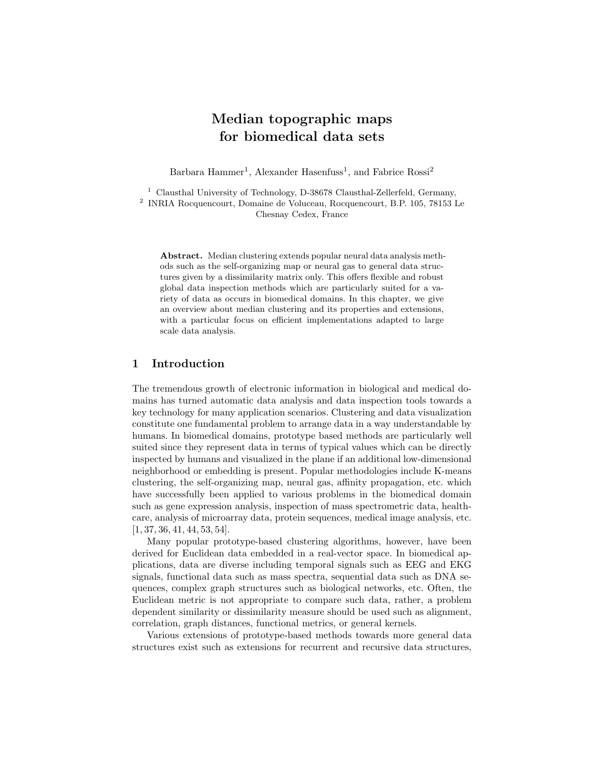# Median topographic maps for biomedical data sets

Barbara Hammer<sup>1</sup>, Alexander Hasenfuss<sup>1</sup>, and Fabrice Rossi<sup>2</sup>

<sup>1</sup> Clausthal University of Technology, D-38678 Clausthal-Zellerfeld, Germany, 2 INRIA Rocquencourt, Domaine de Voluceau, Rocquencourt, B.P. 105, 78153 Le Chesnay Cedex, France

Abstract. Median clustering extends popular neural data analysis methods such as the self-organizing map or neural gas to general data structures given by a dissimilarity matrix only. This offers flexible and robust global data inspection methods which are particularly suited for a variety of data as occurs in biomedical domains. In this chapter, we give an overview about median clustering and its properties and extensions, with a particular focus on efficient implementations adapted to large scale data analysis.

# 1 Introduction

The tremendous growth of electronic information in biological and medical domains has turned automatic data analysis and data inspection tools towards a key technology for many application scenarios. Clustering and data visualization constitute one fundamental problem to arrange data in a way understandable by humans. In biomedical domains, prototype based methods are particularly well suited since they represent data in terms of typical values which can be directly inspected by humans and visualized in the plane if an additional low-dimensional neighborhood or embedding is present. Popular methodologies include K-means clustering, the self-organizing map, neural gas, affinity propagation, etc. which have successfully been applied to various problems in the biomedical domain such as gene expression analysis, inspection of mass spectrometric data, healthcare, analysis of microarray data, protein sequences, medical image analysis, etc. [1, 37, 36, 41, 44, 53, 54].

Many popular prototype-based clustering algorithms, however, have been derived for Euclidean data embedded in a real-vector space. In biomedical applications, data are diverse including temporal signals such as EEG and EKG signals, functional data such as mass spectra, sequential data such as DNA sequences, complex graph structures such as biological networks, etc. Often, the Euclidean metric is not appropriate to compare such data, rather, a problem dependent similarity or dissimilarity measure should be used such as alignment, correlation, graph distances, functional metrics, or general kernels.

Various extensions of prototype-based methods towards more general data structures exist such as extensions for recurrent and recursive data structures,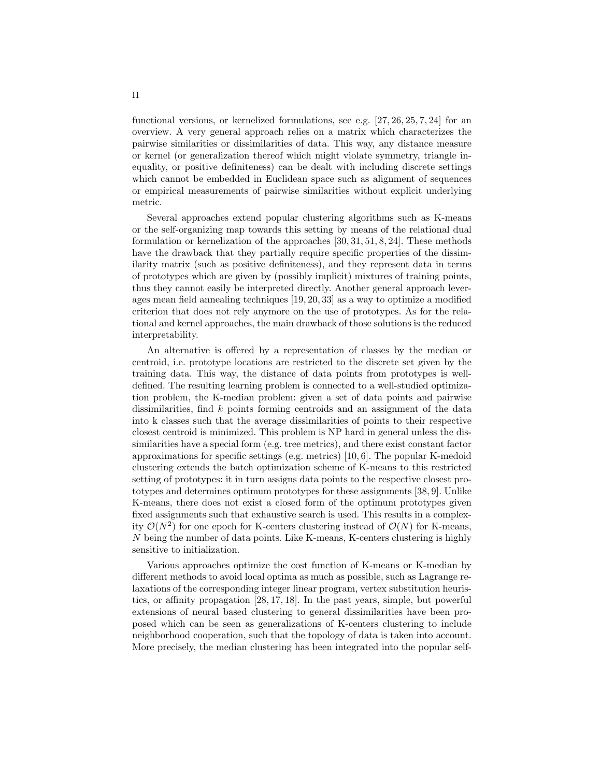functional versions, or kernelized formulations, see e.g. [27, 26, 25, 7, 24] for an overview. A very general approach relies on a matrix which characterizes the pairwise similarities or dissimilarities of data. This way, any distance measure or kernel (or generalization thereof which might violate symmetry, triangle inequality, or positive definiteness) can be dealt with including discrete settings which cannot be embedded in Euclidean space such as alignment of sequences or empirical measurements of pairwise similarities without explicit underlying metric.

Several approaches extend popular clustering algorithms such as K-means or the self-organizing map towards this setting by means of the relational dual formulation or kernelization of the approaches [30, 31, 51, 8, 24]. These methods have the drawback that they partially require specific properties of the dissimilarity matrix (such as positive definiteness), and they represent data in terms of prototypes which are given by (possibly implicit) mixtures of training points, thus they cannot easily be interpreted directly. Another general approach leverages mean field annealing techniques [19, 20, 33] as a way to optimize a modified criterion that does not rely anymore on the use of prototypes. As for the relational and kernel approaches, the main drawback of those solutions is the reduced interpretability.

An alternative is offered by a representation of classes by the median or centroid, i.e. prototype locations are restricted to the discrete set given by the training data. This way, the distance of data points from prototypes is welldefined. The resulting learning problem is connected to a well-studied optimization problem, the K-median problem: given a set of data points and pairwise dissimilarities, find k points forming centroids and an assignment of the data into k classes such that the average dissimilarities of points to their respective closest centroid is minimized. This problem is NP hard in general unless the dissimilarities have a special form (e.g. tree metrics), and there exist constant factor approximations for specific settings (e.g. metrics) [10, 6]. The popular K-medoid clustering extends the batch optimization scheme of K-means to this restricted setting of prototypes: it in turn assigns data points to the respective closest prototypes and determines optimum prototypes for these assignments [38, 9]. Unlike K-means, there does not exist a closed form of the optimum prototypes given fixed assignments such that exhaustive search is used. This results in a complexity  $\mathcal{O}(N^2)$  for one epoch for K-centers clustering instead of  $\mathcal{O}(N)$  for K-means, N being the number of data points. Like K-means, K-centers clustering is highly sensitive to initialization.

Various approaches optimize the cost function of K-means or K-median by different methods to avoid local optima as much as possible, such as Lagrange relaxations of the corresponding integer linear program, vertex substitution heuristics, or affinity propagation [28, 17, 18]. In the past years, simple, but powerful extensions of neural based clustering to general dissimilarities have been proposed which can be seen as generalizations of K-centers clustering to include neighborhood cooperation, such that the topology of data is taken into account. More precisely, the median clustering has been integrated into the popular self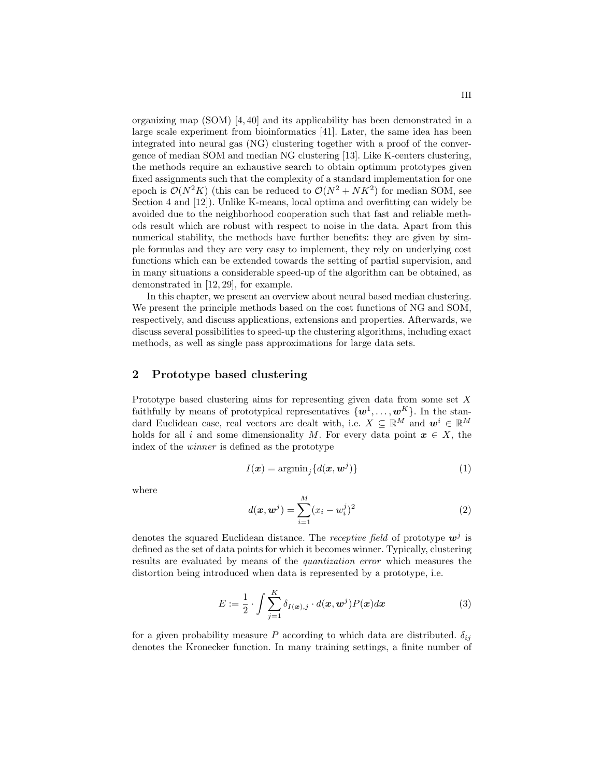organizing map  $(SOM)$  [4, 40] and its applicability has been demonstrated in a large scale experiment from bioinformatics [41]. Later, the same idea has been integrated into neural gas (NG) clustering together with a proof of the convergence of median SOM and median NG clustering [13]. Like K-centers clustering, the methods require an exhaustive search to obtain optimum prototypes given fixed assignments such that the complexity of a standard implementation for one epoch is  $\mathcal{O}(N^2 K)$  (this can be reduced to  $\mathcal{O}(N^2 + NK^2)$  for median SOM, see Section 4 and [12]). Unlike K-means, local optima and overfitting can widely be avoided due to the neighborhood cooperation such that fast and reliable methods result which are robust with respect to noise in the data. Apart from this numerical stability, the methods have further benefits: they are given by simple formulas and they are very easy to implement, they rely on underlying cost functions which can be extended towards the setting of partial supervision, and in many situations a considerable speed-up of the algorithm can be obtained, as demonstrated in [12, 29], for example.

In this chapter, we present an overview about neural based median clustering. We present the principle methods based on the cost functions of NG and SOM, respectively, and discuss applications, extensions and properties. Afterwards, we discuss several possibilities to speed-up the clustering algorithms, including exact methods, as well as single pass approximations for large data sets.

# 2 Prototype based clustering

Prototype based clustering aims for representing given data from some set  $X$ faithfully by means of prototypical representatives  $\{w^1, \ldots, w^K\}$ . In the standard Euclidean case, real vectors are dealt with, i.e.  $X \subseteq \mathbb{R}^M$  and  $\mathbf{w}^i \in \mathbb{R}^M$ holds for all i and some dimensionality M. For every data point  $x \in X$ , the index of the winner is defined as the prototype

$$
I(\boldsymbol{x}) = \operatorname{argmin}_{j} \{ d(\boldsymbol{x}, \boldsymbol{w}^{j}) \}
$$
\n(1)

where

$$
d(\bm{x}, \bm{w}^j) = \sum_{i=1}^{M} (x_i - w_i^j)^2
$$
 (2)

denotes the squared Euclidean distance. The *receptive field* of prototype  $w<sup>j</sup>$  is defined as the set of data points for which it becomes winner. Typically, clustering results are evaluated by means of the quantization error which measures the distortion being introduced when data is represented by a prototype, i.e.

$$
E := \frac{1}{2} \cdot \int \sum_{j=1}^{K} \delta_{I(\boldsymbol{x}),j} \cdot d(\boldsymbol{x}, \boldsymbol{w}^{j}) P(\boldsymbol{x}) d\boldsymbol{x}
$$
 (3)

for a given probability measure P according to which data are distributed.  $\delta_{ij}$ denotes the Kronecker function. In many training settings, a finite number of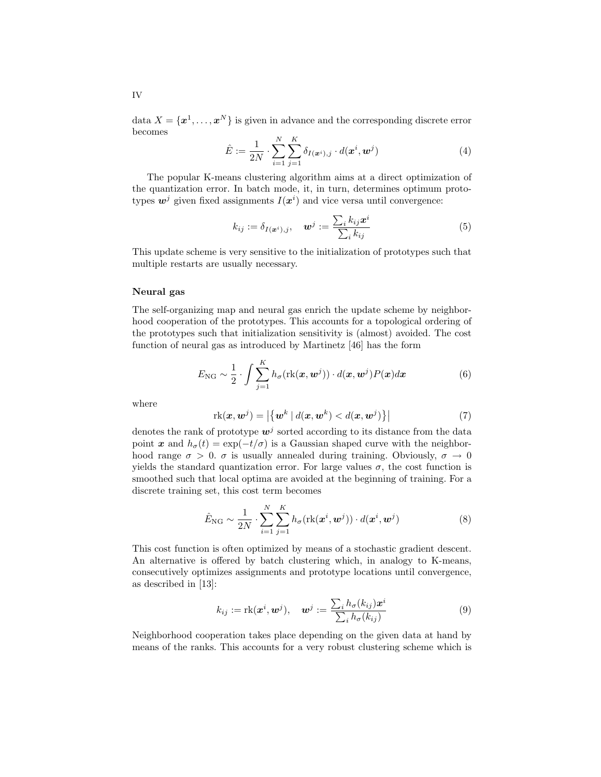data  $X = \{x^1, \ldots, x^N\}$  is given in advance and the corresponding discrete error becomes

$$
\hat{E} := \frac{1}{2N} \cdot \sum_{i=1}^{N} \sum_{j=1}^{K} \delta_{I(\boldsymbol{x}^i),j} \cdot d(\boldsymbol{x}^i, \boldsymbol{w}^j)
$$
(4)

The popular K-means clustering algorithm aims at a direct optimization of the quantization error. In batch mode, it, in turn, determines optimum prototypes  $w^j$  given fixed assignments  $I(x^i)$  and vice versa until convergence:

$$
k_{ij} := \delta_{I(\boldsymbol{x}^i),j}, \quad \boldsymbol{w}^j := \frac{\sum_i k_{ij} \boldsymbol{x}^i}{\sum_i k_{ij}} \tag{5}
$$

This update scheme is very sensitive to the initialization of prototypes such that multiple restarts are usually necessary.

#### Neural gas

The self-organizing map and neural gas enrich the update scheme by neighborhood cooperation of the prototypes. This accounts for a topological ordering of the prototypes such that initialization sensitivity is (almost) avoided. The cost function of neural gas as introduced by Martinetz [46] has the form

$$
E_{\rm NG} \sim \frac{1}{2} \cdot \int \sum_{j=1}^{K} h_{\sigma}(\text{rk}(\boldsymbol{x}, \boldsymbol{w}^j)) \cdot d(\boldsymbol{x}, \boldsymbol{w}^j) P(\boldsymbol{x}) d\boldsymbol{x}
$$
(6)

where

$$
\mathrm{rk}(\boldsymbol{x},\boldsymbol{w}^j)=\left|\left\{\boldsymbol{w}^k\,|\,d(\boldsymbol{x},\boldsymbol{w}^k)<\allowbreak d(\boldsymbol{x},\boldsymbol{w}^j)\right\}\right|\tag{7}
$$

denotes the rank of prototype  $w^j$  sorted according to its distance from the data point x and  $h_{\sigma}(t) = \exp(-t/\sigma)$  is a Gaussian shaped curve with the neighborhood range  $\sigma > 0$ .  $\sigma$  is usually annealed during training. Obviously,  $\sigma \to 0$ yields the standard quantization error. For large values  $\sigma$ , the cost function is smoothed such that local optima are avoided at the beginning of training. For a discrete training set, this cost term becomes

$$
\hat{E}_{\rm NG} \sim \frac{1}{2N} \cdot \sum_{i=1}^{N} \sum_{j=1}^{K} h_{\sigma}(\text{rk}(\boldsymbol{x}^i, \boldsymbol{w}^j)) \cdot d(\boldsymbol{x}^i, \boldsymbol{w}^j)
$$
(8)

This cost function is often optimized by means of a stochastic gradient descent. An alternative is offered by batch clustering which, in analogy to K-means, consecutively optimizes assignments and prototype locations until convergence, as described in [13]:

$$
k_{ij} := \text{rk}(\boldsymbol{x}^i, \boldsymbol{w}^j), \quad \boldsymbol{w}^j := \frac{\sum_i h_{\sigma}(k_{ij}) \boldsymbol{x}^i}{\sum_i h_{\sigma}(k_{ij})}
$$
(9)

Neighborhood cooperation takes place depending on the given data at hand by means of the ranks. This accounts for a very robust clustering scheme which is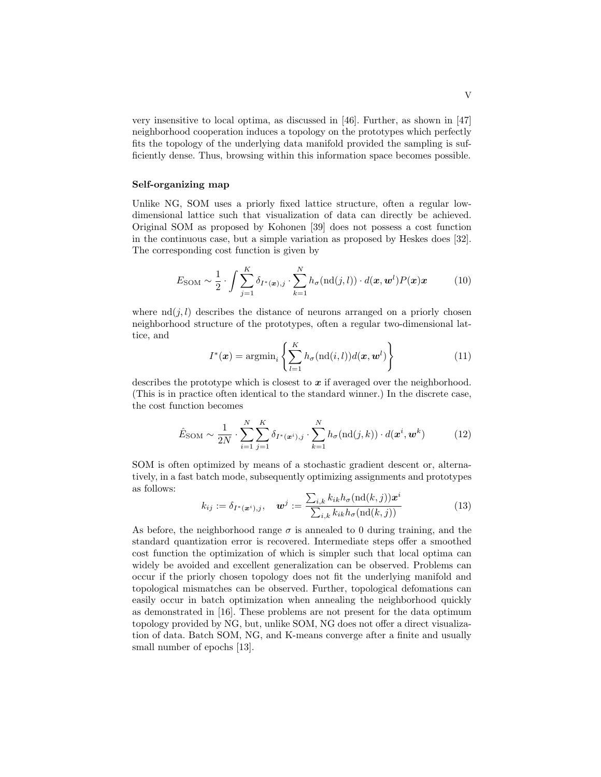very insensitive to local optima, as discussed in [46]. Further, as shown in [47] neighborhood cooperation induces a topology on the prototypes which perfectly fits the topology of the underlying data manifold provided the sampling is sufficiently dense. Thus, browsing within this information space becomes possible.

## Self-organizing map

Unlike NG, SOM uses a priorly fixed lattice structure, often a regular lowdimensional lattice such that visualization of data can directly be achieved. Original SOM as proposed by Kohonen [39] does not possess a cost function in the continuous case, but a simple variation as proposed by Heskes does [32]. The corresponding cost function is given by

$$
E_{\text{SOM}} \sim \frac{1}{2} \cdot \int \sum_{j=1}^{K} \delta_{I^*(\boldsymbol{x}),j} \cdot \sum_{k=1}^{N} h_{\sigma}(\text{nd}(j,l)) \cdot d(\boldsymbol{x}, \boldsymbol{w}^l) P(\boldsymbol{x}) \boldsymbol{x}
$$
(10)

where  $\mathrm{nd}(j, l)$  describes the distance of neurons arranged on a priorly chosen neighborhood structure of the prototypes, often a regular two-dimensional lattice, and

$$
I^*(\boldsymbol{x}) = \operatorname{argmin}_i \left\{ \sum_{l=1}^K h_{\sigma}(\operatorname{nd}(i,l)) d(\boldsymbol{x}, \boldsymbol{w}^l) \right\}
$$
(11)

describes the prototype which is closest to  $x$  if averaged over the neighborhood. (This is in practice often identical to the standard winner.) In the discrete case, the cost function becomes

$$
\hat{E}_{\text{SOM}} \sim \frac{1}{2N} \cdot \sum_{i=1}^{N} \sum_{j=1}^{K} \delta_{I^*(\boldsymbol{x}^i),j} \cdot \sum_{k=1}^{N} h_{\sigma}(\text{nd}(j,k)) \cdot d(\boldsymbol{x}^i, \boldsymbol{w}^k)
$$
(12)

SOM is often optimized by means of a stochastic gradient descent or, alternatively, in a fast batch mode, subsequently optimizing assignments and prototypes as follows:

$$
k_{ij} := \delta_{I^*(\boldsymbol{x}^i),j}, \quad \boldsymbol{w}^j := \frac{\sum_{i,k} k_{ik} h_{\sigma}(\text{nd}(k,j)) \boldsymbol{x}^i}{\sum_{i,k} k_{ik} h_{\sigma}(\text{nd}(k,j))}
$$
(13)

As before, the neighborhood range  $\sigma$  is annealed to 0 during training, and the standard quantization error is recovered. Intermediate steps offer a smoothed cost function the optimization of which is simpler such that local optima can widely be avoided and excellent generalization can be observed. Problems can occur if the priorly chosen topology does not fit the underlying manifold and topological mismatches can be observed. Further, topological defomations can easily occur in batch optimization when annealing the neighborhood quickly as demonstrated in [16]. These problems are not present for the data optimum topology provided by NG, but, unlike SOM, NG does not offer a direct visualization of data. Batch SOM, NG, and K-means converge after a finite and usually small number of epochs [13].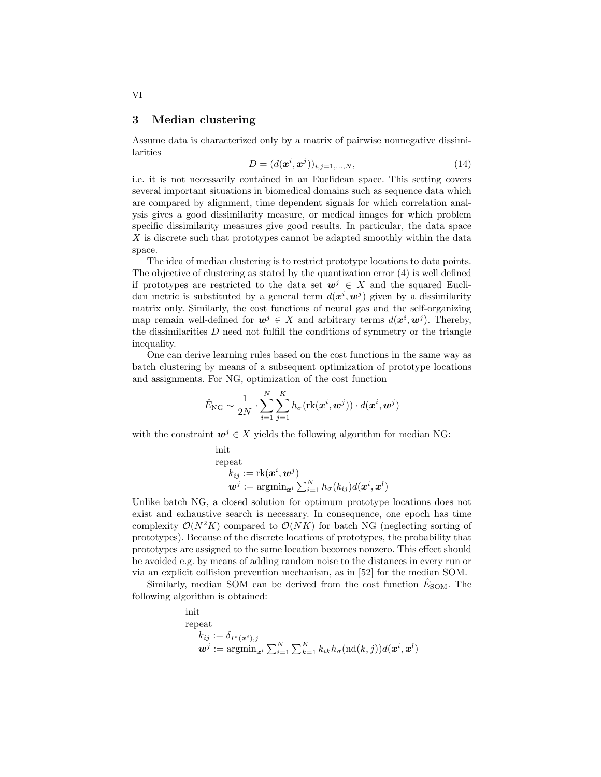# 3 Median clustering

Assume data is characterized only by a matrix of pairwise nonnegative dissimilarities

$$
D = (d(\boldsymbol{x}^i, \boldsymbol{x}^j))_{i,j=1,\ldots,N},\tag{14}
$$

i.e. it is not necessarily contained in an Euclidean space. This setting covers several important situations in biomedical domains such as sequence data which are compared by alignment, time dependent signals for which correlation analysis gives a good dissimilarity measure, or medical images for which problem specific dissimilarity measures give good results. In particular, the data space X is discrete such that prototypes cannot be adapted smoothly within the data space.

The idea of median clustering is to restrict prototype locations to data points. The objective of clustering as stated by the quantization error (4) is well defined if prototypes are restricted to the data set  $w^j \in X$  and the squared Euclidan metric is substituted by a general term  $d(\boldsymbol{x}^i, \boldsymbol{w}^j)$  given by a dissimilarity matrix only. Similarly, the cost functions of neural gas and the self-organizing map remain well-defined for  $w^j \in X$  and arbitrary terms  $d(x^i, w^j)$ . Thereby, the dissimilarities  $D$  need not fulfill the conditions of symmetry or the triangle inequality.

One can derive learning rules based on the cost functions in the same way as batch clustering by means of a subsequent optimization of prototype locations and assignments. For NG, optimization of the cost function

$$
\hat{E}_{\rm NG} \sim \frac{1}{2N} \cdot \sum_{i=1}^N \sum_{j=1}^K h_\sigma(\mathrm{rk}(\bm{x}^i,\bm{w}^j)) \cdot d(\bm{x}^i,\bm{w}^j)
$$

with the constraint  $\mathbf{w}^j \in X$  yields the following algorithm for median NG:

init  
\nrepeat  
\n
$$
k_{ij} := \text{rk}(\boldsymbol{x}^i, \boldsymbol{w}^j)
$$
\n
$$
\boldsymbol{w}^j := \text{argmin}_{\boldsymbol{x}^l} \sum_{i=1}^N h_{\sigma}(k_{ij}) d(\boldsymbol{x}^i, \boldsymbol{x}^l)
$$

Unlike batch NG, a closed solution for optimum prototype locations does not exist and exhaustive search is necessary. In consequence, one epoch has time complexity  $\mathcal{O}(N^2K)$  compared to  $\mathcal{O}(NK)$  for batch NG (neglecting sorting of prototypes). Because of the discrete locations of prototypes, the probability that prototypes are assigned to the same location becomes nonzero. This effect should be avoided e.g. by means of adding random noise to the distances in every run or via an explicit collision prevention mechanism, as in [52] for the median SOM.

Similarly, median SOM can be derived from the cost function  $\hat{E}_{\mathrm{SOM}}$ . The following algorithm is obtained:

init  
\nrepeat  
\n
$$
k_{ij} := \delta_{I^*(\boldsymbol{x}^i),j}
$$
\n
$$
\boldsymbol{w}^j := \operatorname{argmin}_{\boldsymbol{x}^l} \sum_{i=1}^N \sum_{k=1}^K k_{ik} h_{\sigma}(\operatorname{nd}(k,j)) d(\boldsymbol{x}^i, \boldsymbol{x}^l)
$$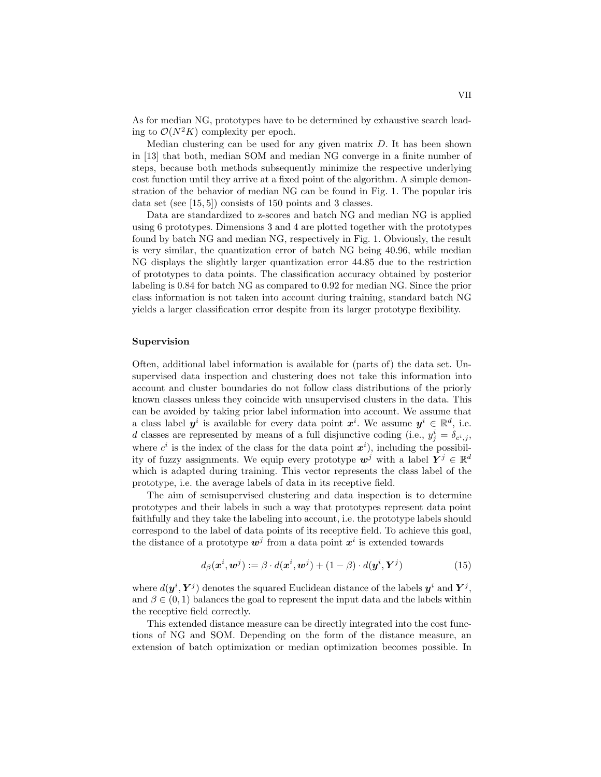As for median NG, prototypes have to be determined by exhaustive search leading to  $\mathcal{O}(N^2K)$  complexity per epoch.

Median clustering can be used for any given matrix  $D$ . It has been shown in [13] that both, median SOM and median NG converge in a finite number of steps, because both methods subsequently minimize the respective underlying cost function until they arrive at a fixed point of the algorithm. A simple demonstration of the behavior of median NG can be found in Fig. 1. The popular iris data set (see [15, 5]) consists of 150 points and 3 classes.

Data are standardized to z-scores and batch NG and median NG is applied using 6 prototypes. Dimensions 3 and 4 are plotted together with the prototypes found by batch NG and median NG, respectively in Fig. 1. Obviously, the result is very similar, the quantization error of batch NG being 40.96, while median NG displays the slightly larger quantization error 44.85 due to the restriction of prototypes to data points. The classification accuracy obtained by posterior labeling is 0.84 for batch NG as compared to 0.92 for median NG. Since the prior class information is not taken into account during training, standard batch NG yields a larger classification error despite from its larger prototype flexibility.

### Supervision

Often, additional label information is available for (parts of) the data set. Unsupervised data inspection and clustering does not take this information into account and cluster boundaries do not follow class distributions of the priorly known classes unless they coincide with unsupervised clusters in the data. This can be avoided by taking prior label information into account. We assume that a class label  $y^i$  is available for every data point  $x^i$ . We assume  $y^i \in \mathbb{R}^d$ , i.e. d classes are represented by means of a full disjunctive coding (i.e.,  $y_j^i = \delta_{c^i,j}$ , where  $c^i$  is the index of the class for the data point  $x^i$ , including the possibility of fuzzy assignments. We equip every prototype  $\mathbf{w}^j$  with a label  $\mathbf{Y}^j \in \mathbb{R}^d$ which is adapted during training. This vector represents the class label of the prototype, i.e. the average labels of data in its receptive field.

The aim of semisupervised clustering and data inspection is to determine prototypes and their labels in such a way that prototypes represent data point faithfully and they take the labeling into account, i.e. the prototype labels should correspond to the label of data points of its receptive field. To achieve this goal, the distance of a prototype  $w^j$  from a data point  $x^i$  is extended towards

$$
d_{\beta}(\boldsymbol{x}^{i}, \boldsymbol{w}^{j}) := \beta \cdot d(\boldsymbol{x}^{i}, \boldsymbol{w}^{j}) + (1 - \beta) \cdot d(\boldsymbol{y}^{i}, \boldsymbol{Y}^{j})
$$
(15)

where  $d(\mathbf{y}^i, \mathbf{Y}^j)$  denotes the squared Euclidean distance of the labels  $\mathbf{y}^i$  and  $\mathbf{Y}^j$ , and  $\beta \in (0, 1)$  balances the goal to represent the input data and the labels within the receptive field correctly.

This extended distance measure can be directly integrated into the cost functions of NG and SOM. Depending on the form of the distance measure, an extension of batch optimization or median optimization becomes possible. In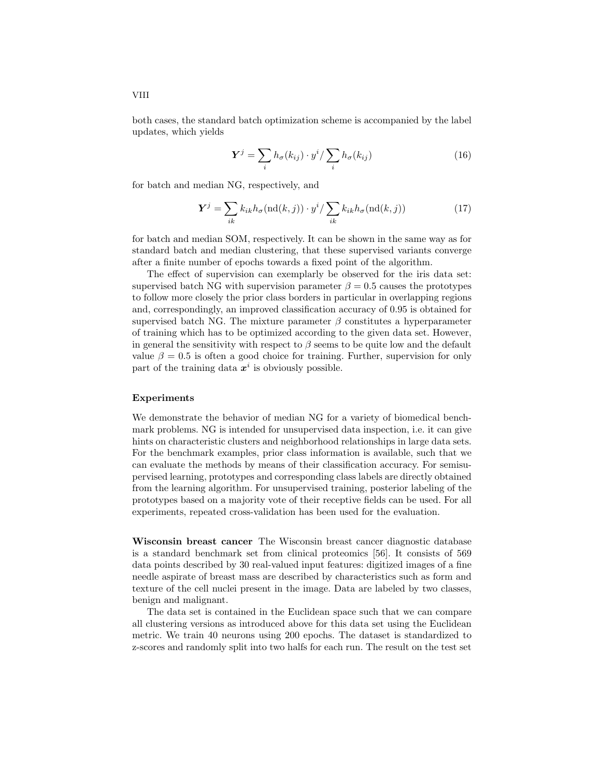both cases, the standard batch optimization scheme is accompanied by the label updates, which yields

$$
\boldsymbol{Y}^{j} = \sum_{i} h_{\sigma}(k_{ij}) \cdot y^{i} / \sum_{i} h_{\sigma}(k_{ij}) \qquad (16)
$$

for batch and median NG, respectively, and

$$
\mathbf{Y}^j = \sum_{ik} k_{ik} h_{\sigma}(\text{nd}(k,j)) \cdot y^i / \sum_{ik} k_{ik} h_{\sigma}(\text{nd}(k,j)) \tag{17}
$$

for batch and median SOM, respectively. It can be shown in the same way as for standard batch and median clustering, that these supervised variants converge after a finite number of epochs towards a fixed point of the algorithm.

The effect of supervision can exemplarly be observed for the iris data set: supervised batch NG with supervision parameter  $\beta = 0.5$  causes the prototypes to follow more closely the prior class borders in particular in overlapping regions and, correspondingly, an improved classification accuracy of 0.95 is obtained for supervised batch NG. The mixture parameter  $\beta$  constitutes a hyperparameter of training which has to be optimized according to the given data set. However, in general the sensitivity with respect to  $\beta$  seems to be quite low and the default value  $\beta = 0.5$  is often a good choice for training. Further, supervision for only part of the training data  $x^i$  is obviously possible.

### Experiments

We demonstrate the behavior of median NG for a variety of biomedical benchmark problems. NG is intended for unsupervised data inspection, i.e. it can give hints on characteristic clusters and neighborhood relationships in large data sets. For the benchmark examples, prior class information is available, such that we can evaluate the methods by means of their classification accuracy. For semisupervised learning, prototypes and corresponding class labels are directly obtained from the learning algorithm. For unsupervised training, posterior labeling of the prototypes based on a majority vote of their receptive fields can be used. For all experiments, repeated cross-validation has been used for the evaluation.

Wisconsin breast cancer The Wisconsin breast cancer diagnostic database is a standard benchmark set from clinical proteomics [56]. It consists of 569 data points described by 30 real-valued input features: digitized images of a fine needle aspirate of breast mass are described by characteristics such as form and texture of the cell nuclei present in the image. Data are labeled by two classes, benign and malignant.

The data set is contained in the Euclidean space such that we can compare all clustering versions as introduced above for this data set using the Euclidean metric. We train 40 neurons using 200 epochs. The dataset is standardized to z-scores and randomly split into two halfs for each run. The result on the test set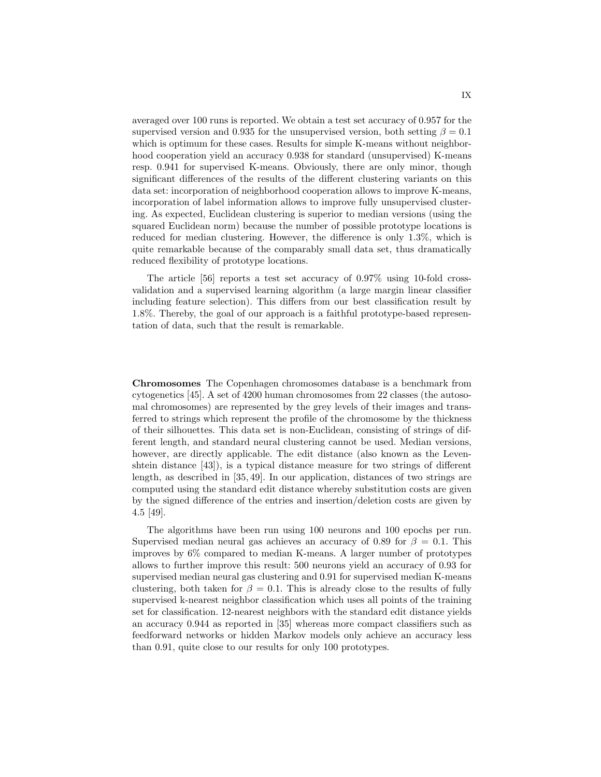averaged over 100 runs is reported. We obtain a test set accuracy of 0.957 for the supervised version and 0.935 for the unsupervised version, both setting  $\beta = 0.1$ which is optimum for these cases. Results for simple K-means without neighborhood cooperation yield an accuracy 0.938 for standard (unsupervised) K-means resp. 0.941 for supervised K-means. Obviously, there are only minor, though significant differences of the results of the different clustering variants on this data set: incorporation of neighborhood cooperation allows to improve K-means, incorporation of label information allows to improve fully unsupervised clustering. As expected, Euclidean clustering is superior to median versions (using the squared Euclidean norm) because the number of possible prototype locations is reduced for median clustering. However, the difference is only 1.3%, which is quite remarkable because of the comparably small data set, thus dramatically reduced flexibility of prototype locations.

The article [56] reports a test set accuracy of 0.97% using 10-fold crossvalidation and a supervised learning algorithm (a large margin linear classifier including feature selection). This differs from our best classification result by 1.8%. Thereby, the goal of our approach is a faithful prototype-based representation of data, such that the result is remarkable.

Chromosomes The Copenhagen chromosomes database is a benchmark from cytogenetics [45]. A set of 4200 human chromosomes from 22 classes (the autosomal chromosomes) are represented by the grey levels of their images and transferred to strings which represent the profile of the chromosome by the thickness of their silhouettes. This data set is non-Euclidean, consisting of strings of different length, and standard neural clustering cannot be used. Median versions, however, are directly applicable. The edit distance (also known as the Levenshtein distance [43]), is a typical distance measure for two strings of different length, as described in [35, 49]. In our application, distances of two strings are computed using the standard edit distance whereby substitution costs are given by the signed difference of the entries and insertion/deletion costs are given by 4.5 [49].

The algorithms have been run using 100 neurons and 100 epochs per run. Supervised median neural gas achieves an accuracy of 0.89 for  $\beta = 0.1$ . This improves by 6% compared to median K-means. A larger number of prototypes allows to further improve this result: 500 neurons yield an accuracy of 0.93 for supervised median neural gas clustering and 0.91 for supervised median K-means clustering, both taken for  $\beta = 0.1$ . This is already close to the results of fully supervised k-nearest neighbor classification which uses all points of the training set for classification. 12-nearest neighbors with the standard edit distance yields an accuracy 0.944 as reported in [35] whereas more compact classifiers such as feedforward networks or hidden Markov models only achieve an accuracy less than 0.91, quite close to our results for only 100 prototypes.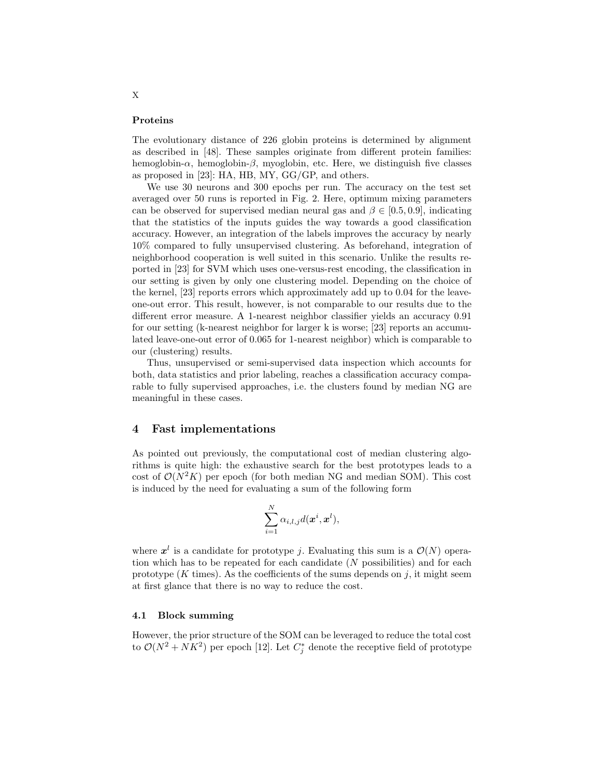#### Proteins

The evolutionary distance of 226 globin proteins is determined by alignment as described in [48]. These samples originate from different protein families: hemoglobin- $\alpha$ , hemoglobin- $\beta$ , myoglobin, etc. Here, we distinguish five classes as proposed in [23]: HA, HB, MY, GG/GP, and others.

We use 30 neurons and 300 epochs per run. The accuracy on the test set averaged over 50 runs is reported in Fig. 2. Here, optimum mixing parameters can be observed for supervised median neural gas and  $\beta \in [0.5, 0.9]$ , indicating that the statistics of the inputs guides the way towards a good classification accuracy. However, an integration of the labels improves the accuracy by nearly 10% compared to fully unsupervised clustering. As beforehand, integration of neighborhood cooperation is well suited in this scenario. Unlike the results reported in [23] for SVM which uses one-versus-rest encoding, the classification in our setting is given by only one clustering model. Depending on the choice of the kernel, [23] reports errors which approximately add up to 0.04 for the leaveone-out error. This result, however, is not comparable to our results due to the different error measure. A 1-nearest neighbor classifier yields an accuracy 0.91 for our setting (k-nearest neighbor for larger k is worse; [23] reports an accumulated leave-one-out error of 0.065 for 1-nearest neighbor) which is comparable to our (clustering) results.

Thus, unsupervised or semi-supervised data inspection which accounts for both, data statistics and prior labeling, reaches a classification accuracy comparable to fully supervised approaches, i.e. the clusters found by median NG are meaningful in these cases.

# 4 Fast implementations

As pointed out previously, the computational cost of median clustering algorithms is quite high: the exhaustive search for the best prototypes leads to a cost of  $\mathcal{O}(N^2K)$  per epoch (for both median NG and median SOM). This cost is induced by the need for evaluating a sum of the following form

$$
\sum_{i=1}^N \alpha_{i,l,j} d(\boldsymbol{x}^i, \boldsymbol{x}^l),
$$

where  $x^{l}$  is a candidate for prototype j. Evaluating this sum is a  $\mathcal{O}(N)$  operation which has to be repeated for each candidate  $(N)$  possibilities) and for each prototype  $(K \times S)$ . As the coefficients of the sums depends on j, it might seem at first glance that there is no way to reduce the cost.

#### 4.1 Block summing

However, the prior structure of the SOM can be leveraged to reduce the total cost to  $\mathcal{O}(N^2 + NK^2)$  per epoch [12]. Let  $C_j^*$  denote the receptive field of prototype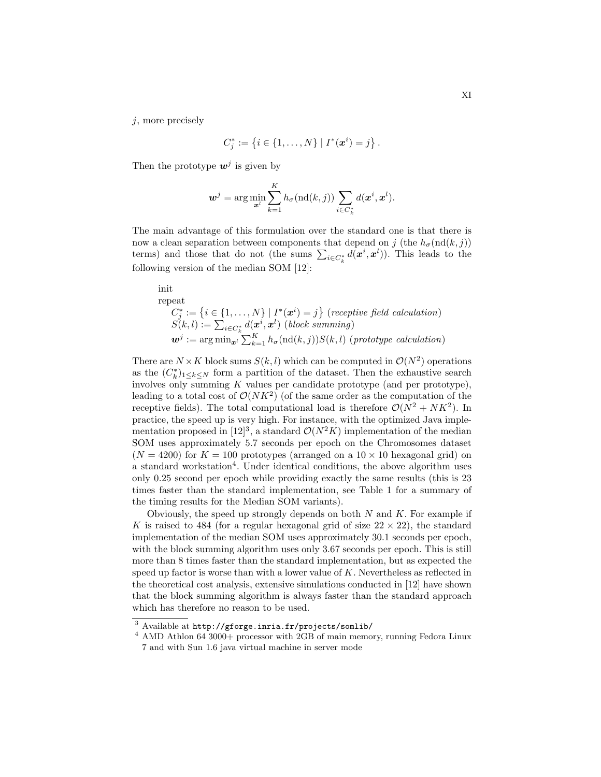$j$ , more precisely

$$
C_j^* := \{i \in \{1, \ldots, N\} \mid I^*(\mathbf{x}^i) = j\}.
$$

Then the prototype  $w^j$  is given by

$$
\boldsymbol{w}^{j} = \arg\min_{\boldsymbol{x}^{l}} \sum_{k=1}^{K} h_{\sigma}(\mathrm{nd}(k, j)) \sum_{i \in C_{k}^{*}} d(\boldsymbol{x}^{i}, \boldsymbol{x}^{l}).
$$

The main advantage of this formulation over the standard one is that there is now a clean separation between components that depend on j (the  $h_{\sigma}(\text{nd}(k, j))$ ) terms) and those that do not (the sums  $\sum_{i \in C^*_k} d(\mathbf{x}^i, \mathbf{x}^l)$ ). This leads to the following version of the median SOM [12]:

init  
\nrepeat  
\n
$$
C_j^* := \{i \in \{1, ..., N\} \mid I^*(\mathbf{x}^i) = j\}
$$
 (receptive field calculation)  
\n
$$
S(k, l) := \sum_{i \in C_k^*} d(\mathbf{x}^i, \mathbf{x}^l)
$$
 (block summing)  
\n
$$
\mathbf{w}^j := \arg \min_{\mathbf{x}^l} \sum_{k=1}^K h_{\sigma}(\text{nd}(k, j)) S(k, l)
$$
 (prototype calculation)

There are  $N \times K$  block sums  $S(k, l)$  which can be computed in  $\mathcal{O}(N^2)$  operations as the  $(C_k^*)_{1\leq k\leq N}$  form a partition of the dataset. Then the exhaustive search involves only summing  $K$  values per candidate prototype (and per prototype), leading to a total cost of  $\mathcal{O}(NK^2)$  (of the same order as the computation of the receptive fields). The total computational load is therefore  $\mathcal{O}(N^2 + NK^2)$ . In practice, the speed up is very high. For instance, with the optimized Java implementation proposed in [12]<sup>3</sup>, a standard  $\mathcal{O}(N^2K)$  implementation of the median SOM uses approximately 5.7 seconds per epoch on the Chromosomes dataset  $(N = 4200)$  for  $K = 100$  prototypes (arranged on a  $10 \times 10$  hexagonal grid) on a standard workstation<sup>4</sup>. Under identical conditions, the above algorithm uses only 0.25 second per epoch while providing exactly the same results (this is 23 times faster than the standard implementation, see Table 1 for a summary of the timing results for the Median SOM variants).

Obviously, the speed up strongly depends on both  $N$  and  $K$ . For example if K is raised to 484 (for a regular hexagonal grid of size  $22 \times 22$ ), the standard implementation of the median SOM uses approximately 30.1 seconds per epoch, with the block summing algorithm uses only 3.67 seconds per epoch. This is still more than 8 times faster than the standard implementation, but as expected the speed up factor is worse than with a lower value of  $K$ . Nevertheless as reflected in the theoretical cost analysis, extensive simulations conducted in [12] have shown that the block summing algorithm is always faster than the standard approach which has therefore no reason to be used.

<sup>3</sup> Available at http://gforge.inria.fr/projects/somlib/

<sup>4</sup> AMD Athlon 64 3000+ processor with 2GB of main memory, running Fedora Linux 7 and with Sun 1.6 java virtual machine in server mode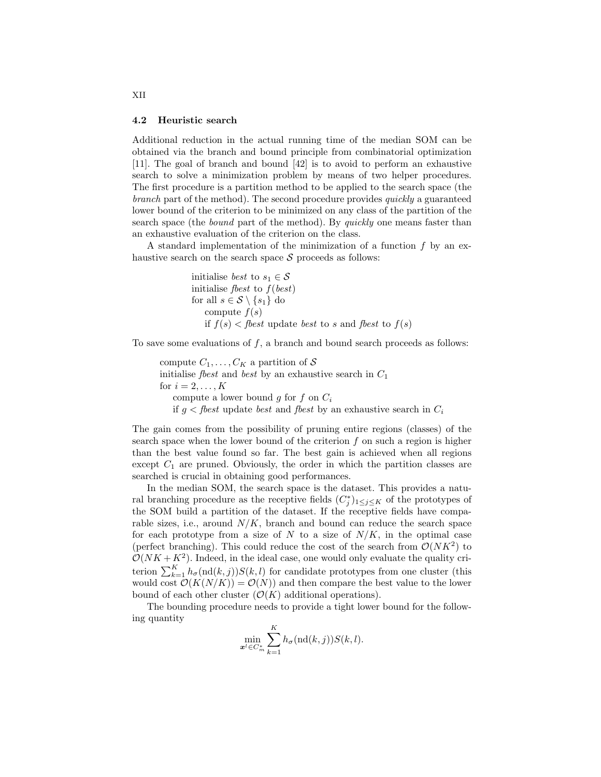#### 4.2 Heuristic search

Additional reduction in the actual running time of the median SOM can be obtained via the branch and bound principle from combinatorial optimization [11]. The goal of branch and bound [42] is to avoid to perform an exhaustive search to solve a minimization problem by means of two helper procedures. The first procedure is a partition method to be applied to the search space (the branch part of the method). The second procedure provides quickly a guaranteed lower bound of the criterion to be minimized on any class of the partition of the search space (the *bound* part of the method). By *quickly* one means faster than an exhaustive evaluation of the criterion on the class.

A standard implementation of the minimization of a function  $f$  by an exhaustive search on the search space  $S$  proceeds as follows:

> initialise best to  $s_1 \in \mathcal{S}$ initialise *fbest* to  $f(best)$ for all  $s \in \mathcal{S} \setminus \{s_1\}$  do compute  $f(s)$ if  $f(s)$  < flest update best to s and flest to  $f(s)$

To save some evaluations of  $f$ , a branch and bound search proceeds as follows:

compute  $C_1, \ldots, C_K$  a partition of S initialise *fbest* and *best* by an exhaustive search in  $C_1$ for  $i = 2, \ldots, K$ compute a lower bound g for f on  $C_i$ if  $g <$  fbest update best and fbest by an exhaustive search in  $C_i$ 

The gain comes from the possibility of pruning entire regions (classes) of the search space when the lower bound of the criterion  $f$  on such a region is higher than the best value found so far. The best gain is achieved when all regions except  $C_1$  are pruned. Obviously, the order in which the partition classes are searched is crucial in obtaining good performances.

In the median SOM, the search space is the dataset. This provides a natural branching procedure as the receptive fields  $(C_j^*)_{1 \leq j \leq K}$  of the prototypes of the SOM build a partition of the dataset. If the receptive fields have comparable sizes, i.e., around  $N/K$ , branch and bound can reduce the search space for each prototype from a size of  $N$  to a size of  $N/K$ , in the optimal case (perfect branching). This could reduce the cost of the search from  $\mathcal{O}(NK^2)$  to  $\mathcal{O}(NK + K^2)$ . Indeed, in the ideal case, one would only evaluate the quality criterion  $\sum_{k=1}^{K} h_{\sigma}(\text{nd}(k, j))S(k, l)$  for candidate prototypes from one cluster (this would cost  $\mathcal{O}(K(N/K)) = \mathcal{O}(N)$  and then compare the best value to the lower bound of each other cluster  $(\mathcal{O}(K))$  additional operations).

The bounding procedure needs to provide a tight lower bound for the following quantity

$$
\min_{\boldsymbol{x}^l \in C_m^*} \sum_{k=1}^K h_{\sigma}(\text{nd}(k,j)) S(k,l).
$$

XII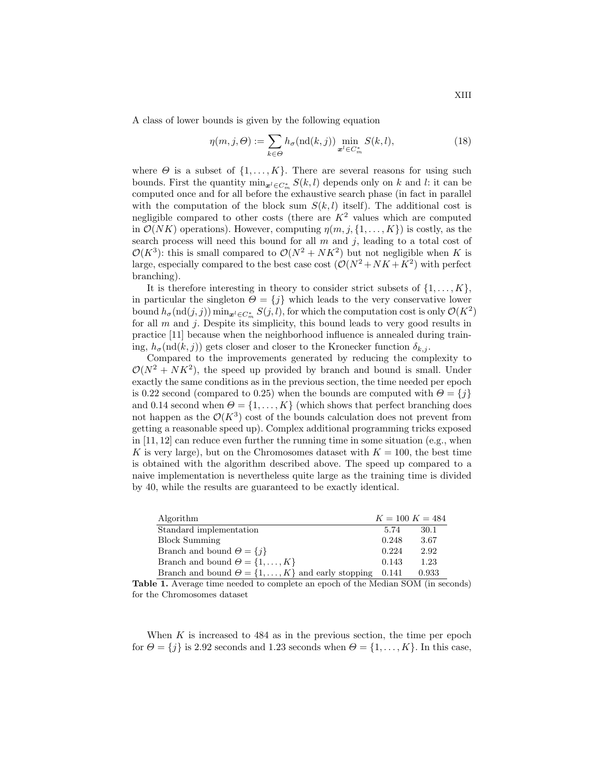A class of lower bounds is given by the following equation

$$
\eta(m, j, \Theta) := \sum_{k \in \Theta} h_{\sigma}(\text{nd}(k, j)) \min_{\mathbf{x}^l \in C_m^*} S(k, l), \tag{18}
$$

where  $\Theta$  is a subset of  $\{1, \ldots, K\}$ . There are several reasons for using such bounds. First the quantity  $\min_{\mathbf{x}^l \in C_m^*} S(k, l)$  depends only on k and l: it can be computed once and for all before the exhaustive search phase (in fact in parallel with the computation of the block sum  $S(k, l)$  itself). The additional cost is negligible compared to other costs (there are  $K^2$  values which are computed in  $\mathcal{O}(NK)$  operations). However, computing  $\eta(m, j, \{1, \ldots, K\})$  is costly, as the search process will need this bound for all  $m$  and  $j$ , leading to a total cost of  $\mathcal{O}(K^3)$ : this is small compared to  $\mathcal{O}(N^2 + NK^2)$  but not negligible when K is large, especially compared to the best case cost  $(\mathcal{O}(N^2 + NK + K^2))$  with perfect branching).

It is therefore interesting in theory to consider strict subsets of  $\{1, \ldots, K\}$ , in particular the singleton  $\Theta = \{j\}$  which leads to the very conservative lower bound  $h_\sigma(\text{nd}(j, j)) \min_{\mathbf{x}^l \in C_m^*} S(j, l)$ , for which the computation cost is only  $\mathcal{O}(K^2)$ for all  $m$  and  $j$ . Despite its simplicity, this bound leads to very good results in practice [11] because when the neighborhood influence is annealed during training,  $h_{\sigma}(\text{nd}(k, j))$  gets closer and closer to the Kronecker function  $\delta_{k,j}$ .

Compared to the improvements generated by reducing the complexity to  $\mathcal{O}(N^2 + NK^2)$ , the speed up provided by branch and bound is small. Under exactly the same conditions as in the previous section, the time needed per epoch is 0.22 second (compared to 0.25) when the bounds are computed with  $\Theta = \{j\}$ and 0.14 second when  $\Theta = \{1, \ldots, K\}$  (which shows that perfect branching does not happen as the  $\mathcal{O}(K^3)$  cost of the bounds calculation does not prevent from getting a reasonable speed up). Complex additional programming tricks exposed in  $[11, 12]$  can reduce even further the running time in some situation (e.g., when K is very large), but on the Chromosomes dataset with  $K = 100$ , the best time is obtained with the algorithm described above. The speed up compared to a naive implementation is nevertheless quite large as the training time is divided by 40, while the results are guaranteed to be exactly identical.

| Algorithm                                                       |       | $K = 100 K = 484$ |
|-----------------------------------------------------------------|-------|-------------------|
| Standard implementation                                         | 5.74  | 30.1              |
| <b>Block Summing</b>                                            | 0.248 | 3.67              |
| Branch and bound $\Theta = \{j\}$                               | 0.224 | 2.92              |
| Branch and bound $\Theta = \{1, \ldots, K\}$                    | 0.143 | 1.23              |
| Branch and bound $\Theta = \{1, , K\}$ and early stopping 0.141 |       | 0.933             |

Table 1. Average time needed to complete an epoch of the Median SOM (in seconds) for the Chromosomes dataset

When  $K$  is increased to 484 as in the previous section, the time per epoch for  $\Theta = \{j\}$  is 2.92 seconds and 1.23 seconds when  $\Theta = \{1, \ldots, K\}$ . In this case,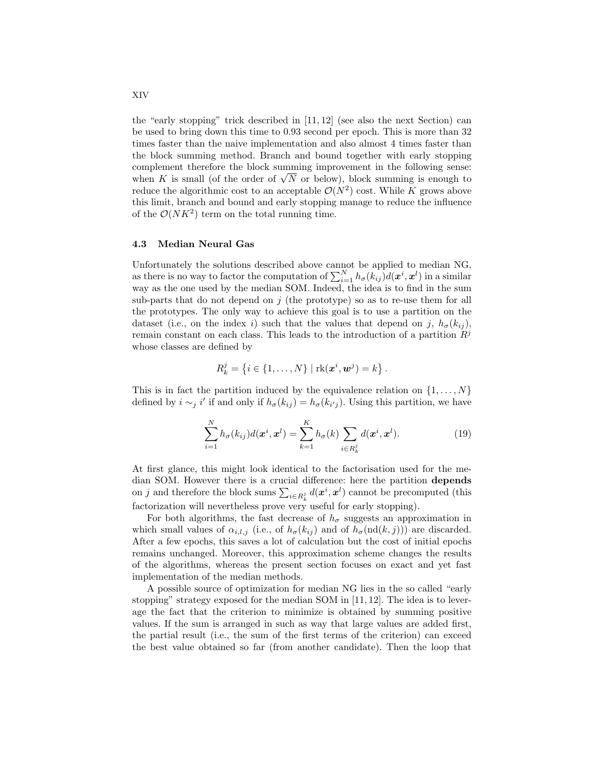the "early stopping" trick described in [11, 12] (see also the next Section) can be used to bring down this time to 0.93 second per epoch. This is more than 32 times faster than the naive implementation and also almost 4 times faster than the block summing method. Branch and bound together with early stopping complement therefore the block summing improvement in the following sense: complement therefore the block summing improvement in the following sense:<br>when K is small (of the order of  $\sqrt{N}$  or below), block summing is enough to reduce the algorithmic cost to an acceptable  $\mathcal{O}(N^2)$  cost. While K grows above this limit, branch and bound and early stopping manage to reduce the influence of the  $\mathcal{O}(NK^2)$  term on the total running time.

### 4.3 Median Neural Gas

Unfortunately the solutions described above cannot be applied to median NG, as there is no way to factor the computation of  $\sum_{i=1}^{N} h_{\sigma}(k_{ij}) d(x^{i}, x^{l})$  in a similar way as the one used by the median SOM. Indeed, the idea is to find in the sum sub-parts that do not depend on  $j$  (the prototype) so as to re-use them for all the prototypes. The only way to achieve this goal is to use a partition on the dataset (i.e., on the index i) such that the values that depend on j,  $h_{\sigma}(k_{ij})$ , remain constant on each class. This leads to the introduction of a partition  $R<sup>j</sup>$ whose classes are defined by

$$
R_k^j = \left\{ i \in \{1, \ldots, N\} \mid \mathrm{rk}(\boldsymbol{x}^i, \boldsymbol{w}^j) = k \right\}.
$$

This is in fact the partition induced by the equivalence relation on  $\{1, \ldots, N\}$ defined by  $i \sim_j i'$  if and only if  $h_{\sigma}(k_{ij}) = h_{\sigma}(k_{i'j})$ . Using this partition, we have

$$
\sum_{i=1}^{N} h_{\sigma}(k_{ij}) d(\boldsymbol{x}^i, \boldsymbol{x}^l) = \sum_{k=1}^{K} h_{\sigma}(k) \sum_{i \in R_k^j} d(\boldsymbol{x}^i, \boldsymbol{x}^l).
$$
 (19)

At first glance, this might look identical to the factorisation used for the median SOM. However there is a crucial difference: here the partition depends on j and therefore the block sums  $\sum_{i \in R_k^j} d(\bm{x}^i, \bm{x}^l)$  cannot be precomputed (this factorization will nevertheless prove very useful for early stopping).

For both algorithms, the fast decrease of  $h_{\sigma}$  suggests an approximation in which small values of  $\alpha_{i,l,j}$  (i.e., of  $h_{\sigma}(k_{ij})$  and of  $h_{\sigma}(nd(k,j))$ ) are discarded. After a few epochs, this saves a lot of calculation but the cost of initial epochs remains unchanged. Moreover, this approximation scheme changes the results of the algorithms, whereas the present section focuses on exact and yet fast implementation of the median methods.

A possible source of optimization for median NG lies in the so called "early stopping" strategy exposed for the median SOM in [11, 12]. The idea is to leverage the fact that the criterion to minimize is obtained by summing positive values. If the sum is arranged in such as way that large values are added first, the partial result (i.e., the sum of the first terms of the criterion) can exceed the best value obtained so far (from another candidate). Then the loop that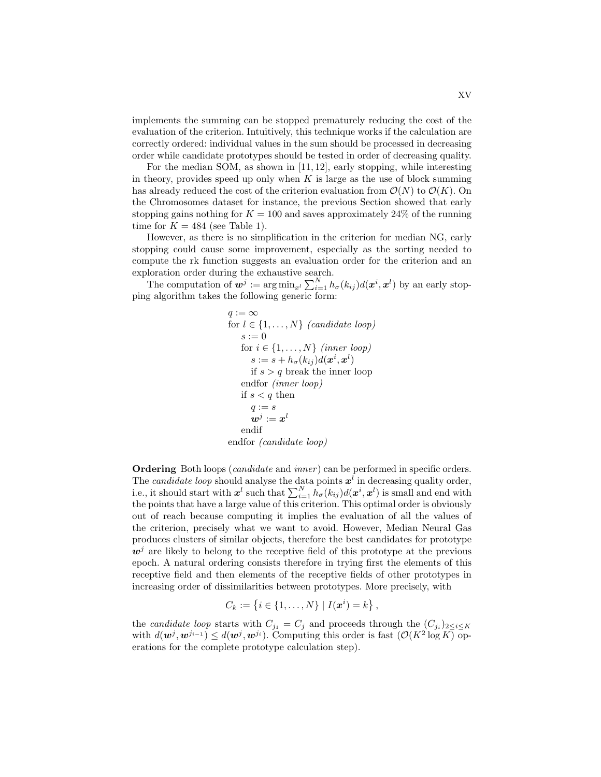implements the summing can be stopped prematurely reducing the cost of the evaluation of the criterion. Intuitively, this technique works if the calculation are correctly ordered: individual values in the sum should be processed in decreasing order while candidate prototypes should be tested in order of decreasing quality.

For the median SOM, as shown in [11, 12], early stopping, while interesting in theory, provides speed up only when  $K$  is large as the use of block summing has already reduced the cost of the criterion evaluation from  $\mathcal{O}(N)$  to  $\mathcal{O}(K)$ . On the Chromosomes dataset for instance, the previous Section showed that early stopping gains nothing for  $K = 100$  and saves approximately 24% of the running time for  $K = 484$  (see Table 1).

However, as there is no simplification in the criterion for median NG, early stopping could cause some improvement, especially as the sorting needed to compute the rk function suggests an evaluation order for the criterion and an exploration order during the exhaustive search.

The computation of  $\boldsymbol{w}^j := \arg \min_{x^l} \sum_{i=1}^N h_{\sigma}(k_{ij}) d(x^i, x^l)$  by an early stopping algorithm takes the following generic form:

> $q := \infty$ for  $l \in \{1, \ldots, N\}$  (candidate loop)  $s := 0$ for  $i \in \{1, \ldots, N\}$  (inner loop)  $s := s + h_{\sigma}(k_{ij})d(\boldsymbol{x}^i, \boldsymbol{x}^l)$ if  $s > q$  break the inner loop endfor (inner loop) if  $s < q$  then  $q := s$  $\bm{w}^j := \bm{x}^l$ endif endfor (candidate loop)

Ordering Both loops (*candidate* and *inner*) can be performed in specific orders. The *candidate loop* should analyse the data points  $x^l$  in decreasing quality order, i.e., it should start with  $x^l$  such that  $\sum_{i=1}^N h_{\sigma}(k_{ij})d(x^i, x^l)$  is small and end with the points that have a large value of this criterion. This optimal order is obviously out of reach because computing it implies the evaluation of all the values of the criterion, precisely what we want to avoid. However, Median Neural Gas produces clusters of similar objects, therefore the best candidates for prototype  $w<sup>j</sup>$  are likely to belong to the receptive field of this prototype at the previous epoch. A natural ordering consists therefore in trying first the elements of this receptive field and then elements of the receptive fields of other prototypes in increasing order of dissimilarities between prototypes. More precisely, with

$$
C_k := \{ i \in \{1, ..., N\} \mid I(\mathbf{x}^i) = k \},
$$

the candidate loop starts with  $C_{j_1} = C_j$  and proceeds through the  $(C_{j_i})_{1 \leq i \leq K}$ with  $d(\mathbf{w}^j, \mathbf{w}^{j_{i-1}}) \leq d(\mathbf{w}^j, \mathbf{w}^{j_i})$ . Computing this order is fast  $(\mathcal{O}(K^2 \log K)$  operations for the complete prototype calculation step).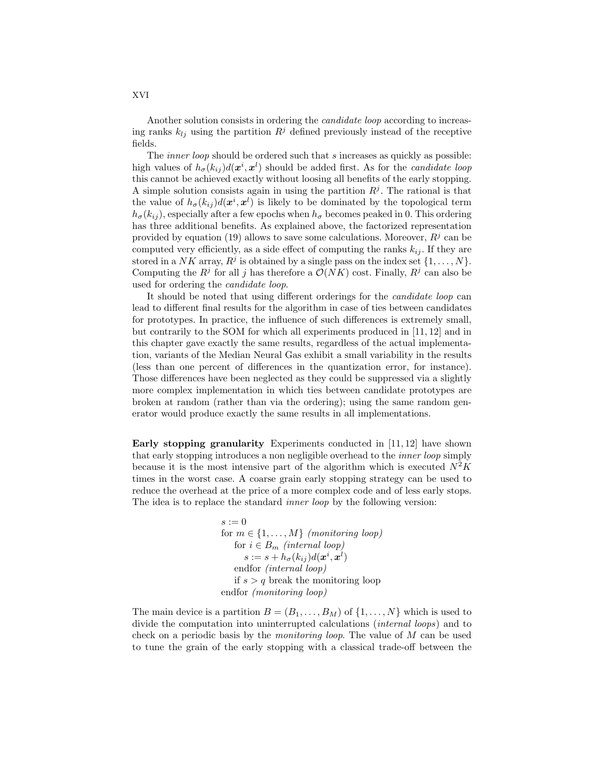Another solution consists in ordering the *candidate loop* according to increasing ranks  $k_{lj}$  using the partition  $R^j$  defined previously instead of the receptive fields.

The *inner loop* should be ordered such that s increases as quickly as possible: high values of  $h_{\sigma}(k_{ij})d(\boldsymbol{x}^i, \boldsymbol{x}^l)$  should be added first. As for the *candidate loop* this cannot be achieved exactly without loosing all benefits of the early stopping. A simple solution consists again in using the partition  $R<sup>j</sup>$ . The rational is that the value of  $h_{\sigma}(k_{ij})d(\boldsymbol{x}^i, \boldsymbol{x}^l)$  is likely to be dominated by the topological term  $h_{\sigma}(k_{ij})$ , especially after a few epochs when  $h_{\sigma}$  becomes peaked in 0. This ordering has three additional benefits. As explained above, the factorized representation provided by equation (19) allows to save some calculations. Moreover,  $R<sup>j</sup>$  can be computed very efficiently, as a side effect of computing the ranks  $k_{ij}$ . If they are stored in a NK array,  $R^j$  is obtained by a single pass on the index set  $\{1, \ldots, N\}$ . Computing the  $R^j$  for all j has therefore a  $\mathcal{O}(NK)$  cost. Finally,  $R^j$  can also be used for ordering the candidate loop.

It should be noted that using different orderings for the candidate loop can lead to different final results for the algorithm in case of ties between candidates for prototypes. In practice, the influence of such differences is extremely small, but contrarily to the SOM for which all experiments produced in [11, 12] and in this chapter gave exactly the same results, regardless of the actual implementation, variants of the Median Neural Gas exhibit a small variability in the results (less than one percent of differences in the quantization error, for instance). Those differences have been neglected as they could be suppressed via a slightly more complex implementation in which ties between candidate prototypes are broken at random (rather than via the ordering); using the same random generator would produce exactly the same results in all implementations.

Early stopping granularity Experiments conducted in  $[11, 12]$  have shown that early stopping introduces a non negligible overhead to the inner loop simply because it is the most intensive part of the algorithm which is executed  $N^2K$ times in the worst case. A coarse grain early stopping strategy can be used to reduce the overhead at the price of a more complex code and of less early stops. The idea is to replace the standard *inner loop* by the following version:

> $s := 0$ for  $m \in \{1, ..., M\}$  (monitoring loop) for  $i \in B_m$  (internal loop)  $s := s + h_{\sigma}(k_{ij}) d(\boldsymbol{x}^i, \boldsymbol{x}^l)$ endfor (internal loop) if  $s > q$  break the monitoring loop endfor (monitoring loop)

The main device is a partition  $B = (B_1, \ldots, B_M)$  of  $\{1, \ldots, N\}$  which is used to divide the computation into uninterrupted calculations (internal loops) and to check on a periodic basis by the *monitoring loop*. The value of  $M$  can be used to tune the grain of the early stopping with a classical trade-off between the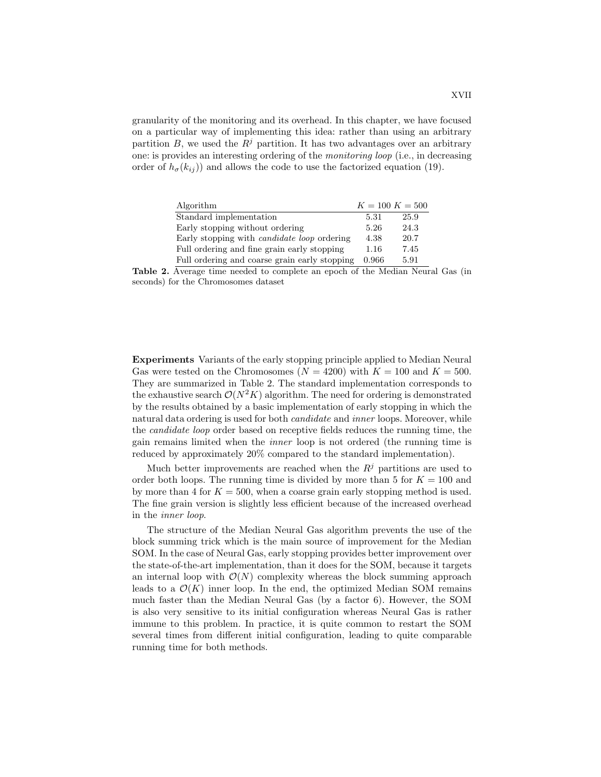granularity of the monitoring and its overhead. In this chapter, we have focused on a particular way of implementing this idea: rather than using an arbitrary partition B, we used the  $R<sup>j</sup>$  partition. It has two advantages over an arbitrary one: is provides an interesting ordering of the monitoring loop (i.e., in decreasing order of  $h_{\sigma}(k_{ij})$  and allows the code to use the factorized equation (19).

| Algorithm                                          |       | $K = 100 K = 500$ |
|----------------------------------------------------|-------|-------------------|
| Standard implementation                            | 5.31  | 25.9              |
| Early stopping without ordering                    | 5.26  | 24.3              |
| Early stopping with <i>candidate loop</i> ordering | 4.38  | 20.7              |
| Full ordering and fine grain early stopping        | 1.16  | 7.45              |
| Full ordering and coarse grain early stopping      | 0.966 | 5.91              |

Table 2. Average time needed to complete an epoch of the Median Neural Gas (in seconds) for the Chromosomes dataset

Experiments Variants of the early stopping principle applied to Median Neural Gas were tested on the Chromosomes  $(N = 4200)$  with  $K = 100$  and  $K = 500$ . They are summarized in Table 2. The standard implementation corresponds to the exhaustive search  $\mathcal{O}(N^2K)$  algorithm. The need for ordering is demonstrated by the results obtained by a basic implementation of early stopping in which the natural data ordering is used for both *candidate* and *inner* loops. Moreover, while the candidate loop order based on receptive fields reduces the running time, the gain remains limited when the inner loop is not ordered (the running time is reduced by approximately 20% compared to the standard implementation).

Much better improvements are reached when the  $R<sup>j</sup>$  partitions are used to order both loops. The running time is divided by more than 5 for  $K = 100$  and by more than 4 for  $K = 500$ , when a coarse grain early stopping method is used. The fine grain version is slightly less efficient because of the increased overhead in the inner loop.

The structure of the Median Neural Gas algorithm prevents the use of the block summing trick which is the main source of improvement for the Median SOM. In the case of Neural Gas, early stopping provides better improvement over the state-of-the-art implementation, than it does for the SOM, because it targets an internal loop with  $\mathcal{O}(N)$  complexity whereas the block summing approach leads to a  $\mathcal{O}(K)$  inner loop. In the end, the optimized Median SOM remains much faster than the Median Neural Gas (by a factor 6). However, the SOM is also very sensitive to its initial configuration whereas Neural Gas is rather immune to this problem. In practice, it is quite common to restart the SOM several times from different initial configuration, leading to quite comparable running time for both methods.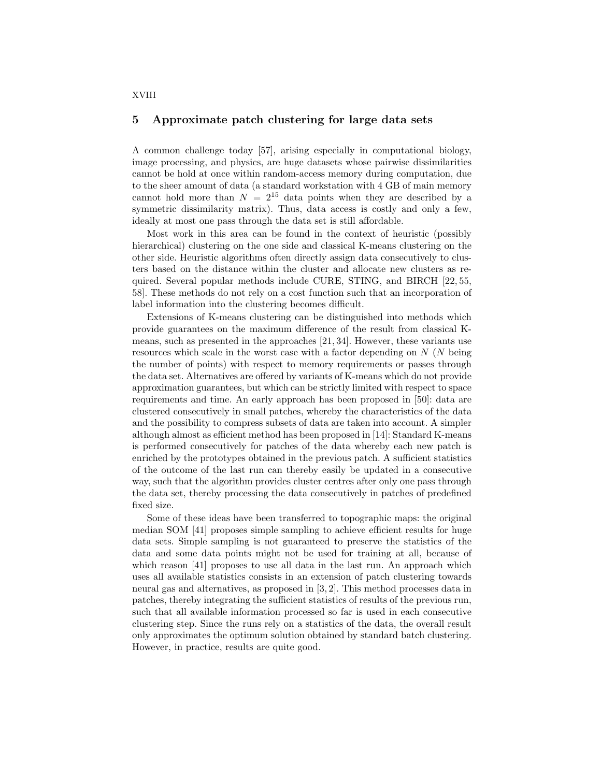# 5 Approximate patch clustering for large data sets

A common challenge today [57], arising especially in computational biology, image processing, and physics, are huge datasets whose pairwise dissimilarities cannot be hold at once within random-access memory during computation, due to the sheer amount of data (a standard workstation with 4 GB of main memory cannot hold more than  $N = 2^{15}$  data points when they are described by a symmetric dissimilarity matrix). Thus, data access is costly and only a few, ideally at most one pass through the data set is still affordable.

Most work in this area can be found in the context of heuristic (possibly hierarchical) clustering on the one side and classical K-means clustering on the other side. Heuristic algorithms often directly assign data consecutively to clusters based on the distance within the cluster and allocate new clusters as required. Several popular methods include CURE, STING, and BIRCH [22, 55, 58]. These methods do not rely on a cost function such that an incorporation of label information into the clustering becomes difficult.

Extensions of K-means clustering can be distinguished into methods which provide guarantees on the maximum difference of the result from classical Kmeans, such as presented in the approaches [21, 34]. However, these variants use resources which scale in the worst case with a factor depending on N (N being the number of points) with respect to memory requirements or passes through the data set. Alternatives are offered by variants of K-means which do not provide approximation guarantees, but which can be strictly limited with respect to space requirements and time. An early approach has been proposed in [50]: data are clustered consecutively in small patches, whereby the characteristics of the data and the possibility to compress subsets of data are taken into account. A simpler although almost as efficient method has been proposed in [14]: Standard K-means is performed consecutively for patches of the data whereby each new patch is enriched by the prototypes obtained in the previous patch. A sufficient statistics of the outcome of the last run can thereby easily be updated in a consecutive way, such that the algorithm provides cluster centres after only one pass through the data set, thereby processing the data consecutively in patches of predefined fixed size.

Some of these ideas have been transferred to topographic maps: the original median SOM [41] proposes simple sampling to achieve efficient results for huge data sets. Simple sampling is not guaranteed to preserve the statistics of the data and some data points might not be used for training at all, because of which reason [41] proposes to use all data in the last run. An approach which uses all available statistics consists in an extension of patch clustering towards neural gas and alternatives, as proposed in [3, 2]. This method processes data in patches, thereby integrating the sufficient statistics of results of the previous run, such that all available information processed so far is used in each consecutive clustering step. Since the runs rely on a statistics of the data, the overall result only approximates the optimum solution obtained by standard batch clustering. However, in practice, results are quite good.

XVIII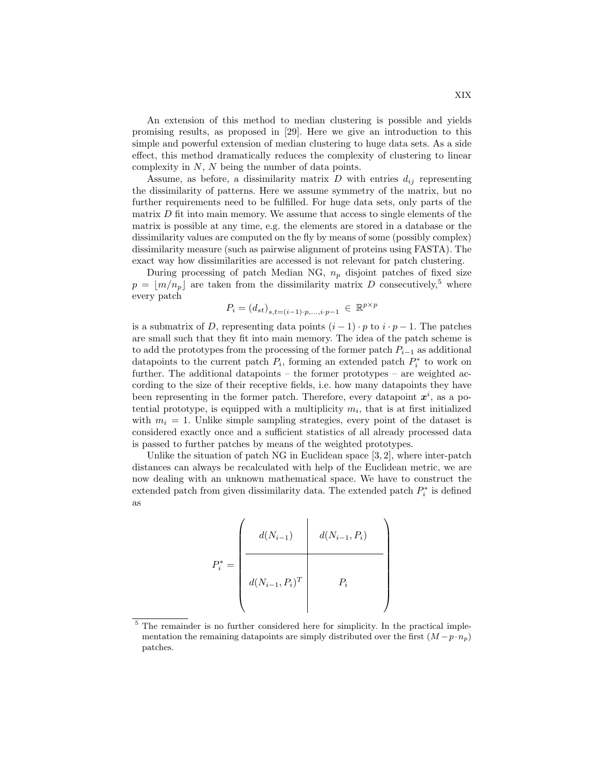An extension of this method to median clustering is possible and yields promising results, as proposed in [29]. Here we give an introduction to this simple and powerful extension of median clustering to huge data sets. As a side effect, this method dramatically reduces the complexity of clustering to linear complexity in N, N being the number of data points.

Assume, as before, a dissimilarity matrix D with entries  $d_{ij}$  representing the dissimilarity of patterns. Here we assume symmetry of the matrix, but no further requirements need to be fulfilled. For huge data sets, only parts of the matrix  $D$  fit into main memory. We assume that access to single elements of the matrix is possible at any time, e.g. the elements are stored in a database or the dissimilarity values are computed on the fly by means of some (possibly complex) dissimilarity measure (such as pairwise alignment of proteins using FASTA). The exact way how dissimilarities are accessed is not relevant for patch clustering.

During processing of patch Median NG,  $n_p$  disjoint patches of fixed size  $p = \lfloor m/n_p \rfloor$  are taken from the dissimilarity matrix D consecutively,<sup>5</sup> where every patch

$$
P_i = (d_{st})_{s,t=(i-1)\cdot p,\dots,i\cdot p-1} \in \mathbb{R}^{p \times p}
$$

is a submatrix of D, representing data points  $(i-1) \cdot p$  to  $i \cdot p - 1$ . The patches are small such that they fit into main memory. The idea of the patch scheme is to add the prototypes from the processing of the former patch  $P_{i-1}$  as additional datapoints to the current patch  $P_i$ , forming an extended patch  $P_i^*$  to work on further. The additional datapoints – the former prototypes – are weighted according to the size of their receptive fields, i.e. how many datapoints they have been representing in the former patch. Therefore, every datapoint  $x^i$ , as a potential prototype, is equipped with a multiplicity  $m_i$ , that is at first initialized with  $m_i = 1$ . Unlike simple sampling strategies, every point of the dataset is considered exactly once and a sufficient statistics of all already processed data is passed to further patches by means of the weighted prototypes.

Unlike the situation of patch NG in Euclidean space [3, 2], where inter-patch distances can always be recalculated with help of the Euclidean metric, we are now dealing with an unknown mathematical space. We have to construct the extended patch from given dissimilarity data. The extended patch  $P_i^*$  is defined as

$$
P_i^* = \begin{pmatrix} d(N_{i-1}) & d(N_{i-1}, P_i) \\ \hline \\ d(N_{i-1}, P_i)^T & P_i \end{pmatrix}
$$

<sup>5</sup> The remainder is no further considered here for simplicity. In the practical implementation the remaining datapoints are simply distributed over the first  $(M - p \cdot n_p)$ patches.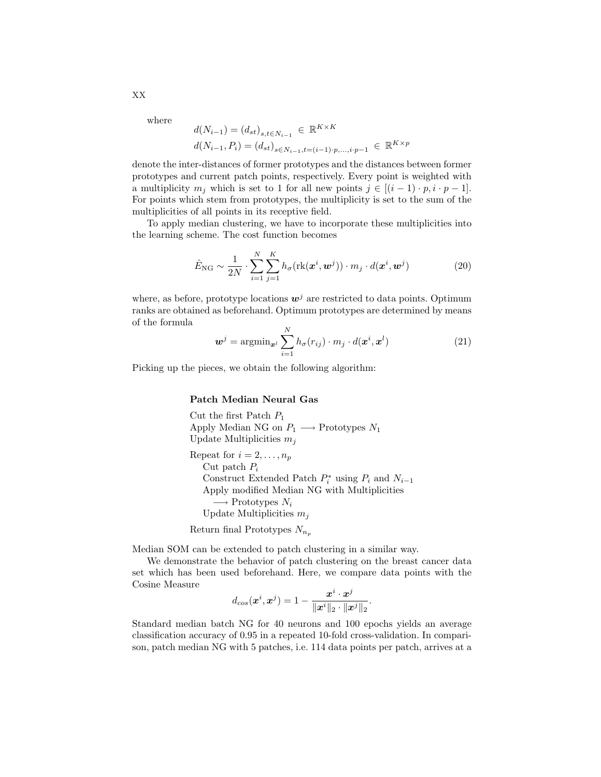where

$$
d(N_{i-1}) = (d_{st})_{s,t \in N_{i-1}} \in \mathbb{R}^{K \times K}
$$
  

$$
d(N_{i-1}, P_i) = (d_{st})_{s \in N_{i-1}, t = (i-1) \cdot p, ..., i \cdot p-1} \in \mathbb{R}^{K \times p}
$$

denote the inter-distances of former prototypes and the distances between former prototypes and current patch points, respectively. Every point is weighted with a multiplicity  $m_j$  which is set to 1 for all new points  $j \in [(i-1) \cdot p, i \cdot p-1]$ . For points which stem from prototypes, the multiplicity is set to the sum of the multiplicities of all points in its receptive field.

To apply median clustering, we have to incorporate these multiplicities into the learning scheme. The cost function becomes

$$
\hat{E}_{\rm NG} \sim \frac{1}{2N} \cdot \sum_{i=1}^N \sum_{j=1}^K h_{\sigma}(\text{rk}(\boldsymbol{x}^i, \boldsymbol{w}^j)) \cdot m_j \cdot d(\boldsymbol{x}^i, \boldsymbol{w}^j)
$$
(20)

where, as before, prototype locations  $\mathbf{w}^j$  are restricted to data points. Optimum ranks are obtained as beforehand. Optimum prototypes are determined by means of the formula

$$
\boldsymbol{w}^{j} = \operatorname{argmin}_{\boldsymbol{x}^{l}} \sum_{i=1}^{N} h_{\sigma}(r_{ij}) \cdot m_{j} \cdot d(\boldsymbol{x}^{i}, \boldsymbol{x}^{l})
$$
(21)

Picking up the pieces, we obtain the following algorithm:

## Patch Median Neural Gas

Cut the first Patch 
$$
P_1
$$
  
Apply Median NG on  $P_1 \longrightarrow$  Prototypes  $N_1$   
Update Multiplicities  $m_j$   
Repeat for  $i = 2, ..., n_p$   
Cut patch  $P_i$   
Construct Extended Patch  $P_i^*$  using  $P_i$  and  $N_{i-1}$   
Apply modified Median NG with Multiplicities  
 $\longrightarrow$  Prototypes  $N_i$   
Update Multiplicities  $m_j$ 

Return final Prototypes  $N_{n_p}$ 

Median SOM can be extended to patch clustering in a similar way.

We demonstrate the behavior of patch clustering on the breast cancer data set which has been used beforehand. Here, we compare data points with the Cosine Measure

$$
d_{cos}(\boldsymbol{x}^i,\boldsymbol{x}^j)=1-\frac{\boldsymbol{x}^i\cdot\boldsymbol{x}^j}{\|\boldsymbol{x}^i\|_2\cdot\|\boldsymbol{x}^j\|_2}
$$

.

Standard median batch NG for 40 neurons and 100 epochs yields an average classification accuracy of 0.95 in a repeated 10-fold cross-validation. In comparison, patch median NG with 5 patches, i.e. 114 data points per patch, arrives at a

XX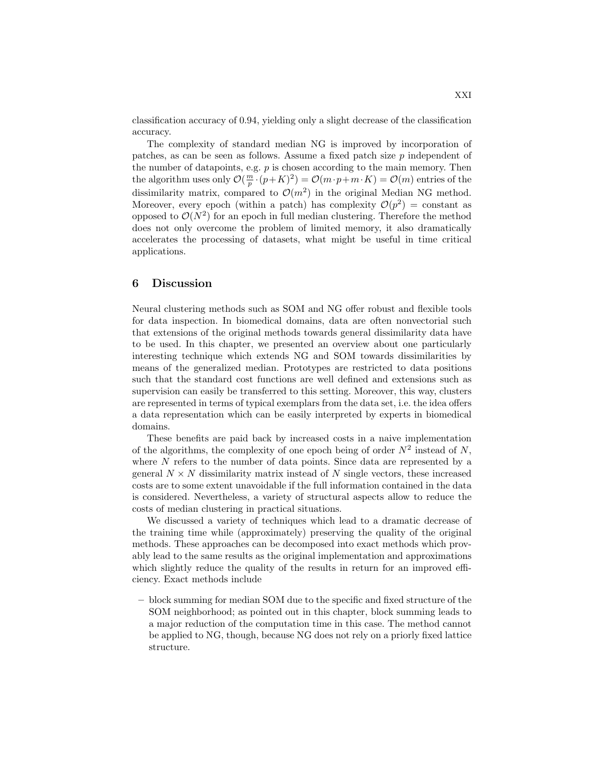classification accuracy of 0.94, yielding only a slight decrease of the classification accuracy.

The complexity of standard median NG is improved by incorporation of patches, as can be seen as follows. Assume a fixed patch size  $p$  independent of the number of datapoints, e.g.  $p$  is chosen according to the main memory. Then the algorithm uses only  $\mathcal{O}(\frac{m}{p} \cdot (p+K)^2) = \mathcal{O}(m \cdot p + m \cdot K) = \mathcal{O}(m)$  entries of the dissimilarity matrix, compared to  $\mathcal{O}(m^2)$  in the original Median NG method. Moreover, every epoch (within a patch) has complexity  $\mathcal{O}(p^2) = \text{constant}$  as opposed to  $\mathcal{O}(N^2)$  for an epoch in full median clustering. Therefore the method does not only overcome the problem of limited memory, it also dramatically accelerates the processing of datasets, what might be useful in time critical applications.

## 6 Discussion

Neural clustering methods such as SOM and NG offer robust and flexible tools for data inspection. In biomedical domains, data are often nonvectorial such that extensions of the original methods towards general dissimilarity data have to be used. In this chapter, we presented an overview about one particularly interesting technique which extends NG and SOM towards dissimilarities by means of the generalized median. Prototypes are restricted to data positions such that the standard cost functions are well defined and extensions such as supervision can easily be transferred to this setting. Moreover, this way, clusters are represented in terms of typical exemplars from the data set, i.e. the idea offers a data representation which can be easily interpreted by experts in biomedical domains.

These benefits are paid back by increased costs in a naive implementation of the algorithms, the complexity of one epoch being of order  $N^2$  instead of N, where  $N$  refers to the number of data points. Since data are represented by a general  $N \times N$  dissimilarity matrix instead of N single vectors, these increased costs are to some extent unavoidable if the full information contained in the data is considered. Nevertheless, a variety of structural aspects allow to reduce the costs of median clustering in practical situations.

We discussed a variety of techniques which lead to a dramatic decrease of the training time while (approximately) preserving the quality of the original methods. These approaches can be decomposed into exact methods which provably lead to the same results as the original implementation and approximations which slightly reduce the quality of the results in return for an improved efficiency. Exact methods include

– block summing for median SOM due to the specific and fixed structure of the SOM neighborhood; as pointed out in this chapter, block summing leads to a major reduction of the computation time in this case. The method cannot be applied to NG, though, because NG does not rely on a priorly fixed lattice structure.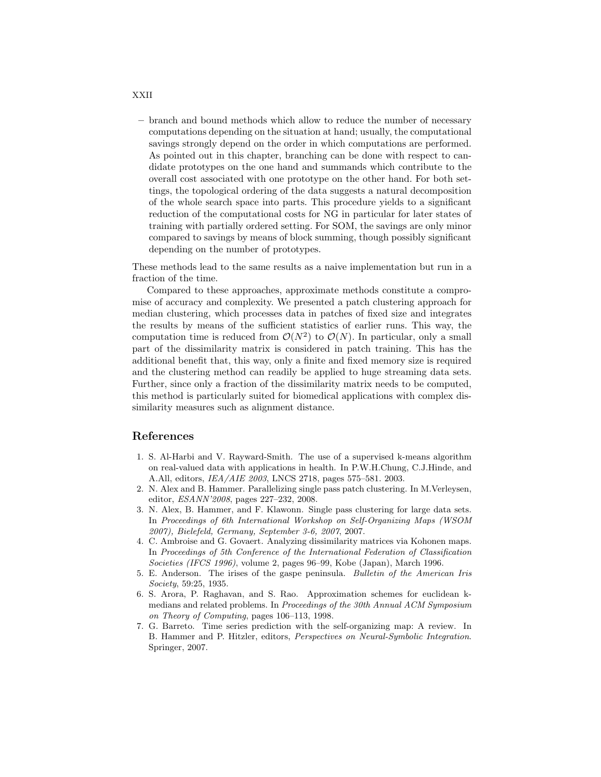– branch and bound methods which allow to reduce the number of necessary computations depending on the situation at hand; usually, the computational savings strongly depend on the order in which computations are performed. As pointed out in this chapter, branching can be done with respect to candidate prototypes on the one hand and summands which contribute to the overall cost associated with one prototype on the other hand. For both settings, the topological ordering of the data suggests a natural decomposition of the whole search space into parts. This procedure yields to a significant reduction of the computational costs for NG in particular for later states of training with partially ordered setting. For SOM, the savings are only minor compared to savings by means of block summing, though possibly significant depending on the number of prototypes.

These methods lead to the same results as a naive implementation but run in a fraction of the time.

Compared to these approaches, approximate methods constitute a compromise of accuracy and complexity. We presented a patch clustering approach for median clustering, which processes data in patches of fixed size and integrates the results by means of the sufficient statistics of earlier runs. This way, the computation time is reduced from  $\mathcal{O}(N^2)$  to  $\mathcal{O}(N)$ . In particular, only a small part of the dissimilarity matrix is considered in patch training. This has the additional benefit that, this way, only a finite and fixed memory size is required and the clustering method can readily be applied to huge streaming data sets. Further, since only a fraction of the dissimilarity matrix needs to be computed, this method is particularly suited for biomedical applications with complex dissimilarity measures such as alignment distance.

# References

- 1. S. Al-Harbi and V. Rayward-Smith. The use of a supervised k-means algorithm on real-valued data with applications in health. In P.W.H.Chung, C.J.Hinde, and A.All, editors, IEA/AIE 2003, LNCS 2718, pages 575–581. 2003.
- 2. N. Alex and B. Hammer. Parallelizing single pass patch clustering. In M.Verleysen, editor, ESANN'2008, pages 227–232, 2008.
- 3. N. Alex, B. Hammer, and F. Klawonn. Single pass clustering for large data sets. In Proceedings of 6th International Workshop on Self-Organizing Maps (WSOM 2007), Bielefeld, Germany, September 3-6, 2007, 2007.
- 4. C. Ambroise and G. Govaert. Analyzing dissimilarity matrices via Kohonen maps. In Proceedings of 5th Conference of the International Federation of Classification Societies (IFCS 1996), volume 2, pages 96–99, Kobe (Japan), March 1996.
- 5. E. Anderson. The irises of the gaspe peninsula. Bulletin of the American Iris Society, 59:25, 1935.
- 6. S. Arora, P. Raghavan, and S. Rao. Approximation schemes for euclidean kmedians and related problems. In Proceedings of the 30th Annual ACM Symposium on Theory of Computing, pages 106–113, 1998.
- 7. G. Barreto. Time series prediction with the self-organizing map: A review. In B. Hammer and P. Hitzler, editors, Perspectives on Neural-Symbolic Integration. Springer, 2007.

XXII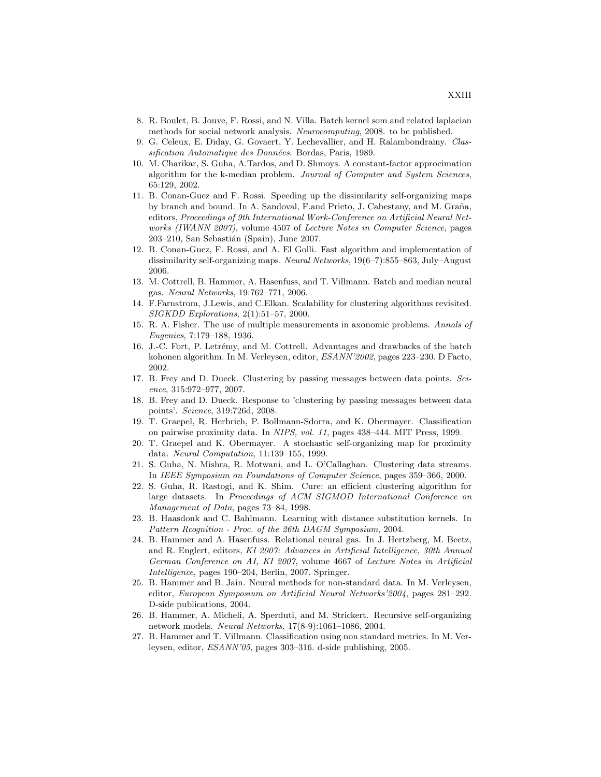- 8. R. Boulet, B. Jouve, F. Rossi, and N. Villa. Batch kernel som and related laplacian methods for social network analysis. Neurocomputing, 2008. to be published.
- 9. G. Celeux, E. Diday, G. Govaert, Y. Lechevallier, and H. Ralambondrainy. Classification Automatique des Données. Bordas, Paris, 1989.
- 10. M. Charikar, S. Guha, A.Tardos, and D. Shmoys. A constant-factor approcimation algorithm for the k-median problem. Journal of Computer and System Sciences, 65:129, 2002.
- 11. B. Conan-Guez and F. Rossi. Speeding up the dissimilarity self-organizing maps by branch and bound. In A. Sandoval, F.and Prieto, J. Cabestany, and M. Graña, editors, Proceedings of 9th International Work-Conference on Artificial Neural Networks (IWANN 2007), volume 4507 of Lecture Notes in Computer Science, pages 203–210, San Sebastián (Spain), June 2007.
- 12. B. Conan-Guez, F. Rossi, and A. El Golli. Fast algorithm and implementation of dissimilarity self-organizing maps. Neural Networks, 19(6–7):855–863, July–August 2006.
- 13. M. Cottrell, B. Hammer, A. Hasenfuss, and T. Villmann. Batch and median neural gas. Neural Networks, 19:762–771, 2006.
- 14. F.Farnstrom, J.Lewis, and C.Elkan. Scalability for clustering algorithms revisited. SIGKDD Explorations, 2(1):51–57, 2000.
- 15. R. A. Fisher. The use of multiple measurements in axonomic problems. Annals of Eugenics, 7:179–188, 1936.
- 16. J.-C. Fort, P. Letrémy, and M. Cottrell. Advantages and drawbacks of the batch kohonen algorithm. In M. Verleysen, editor, ESANN'2002, pages 223–230. D Facto, 2002.
- 17. B. Frey and D. Dueck. Clustering by passing messages between data points. Science, 315:972–977, 2007.
- 18. B. Frey and D. Dueck. Response to 'clustering by passing messages between data points'. Science, 319:726d, 2008.
- 19. T. Graepel, R. Herbrich, P. Bollmann-Sdorra, and K. Obermayer. Classification on pairwise proximity data. In NIPS, vol. 11, pages 438–444. MIT Press, 1999.
- 20. T. Graepel and K. Obermayer. A stochastic self-organizing map for proximity data. Neural Computation, 11:139–155, 1999.
- 21. S. Guha, N. Mishra, R. Motwani, and L. O'Callaghan. Clustering data streams. In IEEE Symposium on Foundations of Computer Science, pages 359–366, 2000.
- 22. S. Guha, R. Rastogi, and K. Shim. Cure: an efficient clustering algorithm for large datasets. In Proceedings of ACM SIGMOD International Conference on Management of Data, pages 73–84, 1998.
- 23. B. Haasdonk and C. Bahlmann. Learning with distance substitution kernels. In Pattern Rcognition - Proc. of the 26th DAGM Symposium, 2004.
- 24. B. Hammer and A. Hasenfuss. Relational neural gas. In J. Hertzberg, M. Beetz, and R. Englert, editors, KI 2007: Advances in Artificial Intelligence, 30th Annual German Conference on AI, KI 2007, volume 4667 of Lecture Notes in Artificial Intelligence, pages 190–204, Berlin, 2007. Springer.
- 25. B. Hammer and B. Jain. Neural methods for non-standard data. In M. Verleysen, editor, European Symposium on Artificial Neural Networks'2004, pages 281–292. D-side publications, 2004.
- 26. B. Hammer, A. Micheli, A. Sperduti, and M. Strickert. Recursive self-organizing network models. Neural Networks, 17(8-9):1061–1086, 2004.
- 27. B. Hammer and T. Villmann. Classification using non standard metrics. In M. Verleysen, editor, ESANN'05, pages 303–316. d-side publishing, 2005.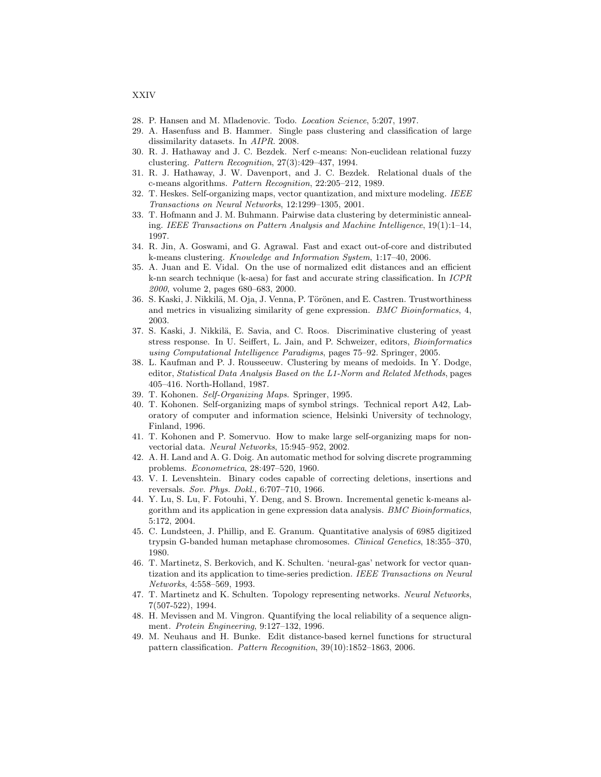- 28. P. Hansen and M. Mladenovic. Todo. Location Science, 5:207, 1997.
- 29. A. Hasenfuss and B. Hammer. Single pass clustering and classification of large dissimilarity datasets. In AIPR. 2008.
- 30. R. J. Hathaway and J. C. Bezdek. Nerf c-means: Non-euclidean relational fuzzy clustering. Pattern Recognition, 27(3):429–437, 1994.
- 31. R. J. Hathaway, J. W. Davenport, and J. C. Bezdek. Relational duals of the c-means algorithms. Pattern Recognition, 22:205–212, 1989.
- 32. T. Heskes. Self-organizing maps, vector quantization, and mixture modeling. IEEE Transactions on Neural Networks, 12:1299–1305, 2001.
- 33. T. Hofmann and J. M. Buhmann. Pairwise data clustering by deterministic annealing. IEEE Transactions on Pattern Analysis and Machine Intelligence, 19(1):1–14, 1997.
- 34. R. Jin, A. Goswami, and G. Agrawal. Fast and exact out-of-core and distributed k-means clustering. Knowledge and Information System, 1:17–40, 2006.
- 35. A. Juan and E. Vidal. On the use of normalized edit distances and an efficient k-nn search technique (k-aesa) for fast and accurate string classification. In ICPR 2000, volume 2, pages 680–683, 2000.
- 36. S. Kaski, J. Nikkilä, M. Oja, J. Venna, P. Törönen, and E. Castren. Trustworthiness and metrics in visualizing similarity of gene expression. BMC Bioinformatics, 4, 2003.
- 37. S. Kaski, J. Nikkilä, E. Savia, and C. Roos. Discriminative clustering of yeast stress response. In U. Seiffert, L. Jain, and P. Schweizer, editors, Bioinformatics using Computational Intelligence Paradigms, pages 75–92. Springer, 2005.
- 38. L. Kaufman and P. J. Rousseeuw. Clustering by means of medoids. In Y. Dodge, editor, Statistical Data Analysis Based on the L1-Norm and Related Methods, pages 405–416. North-Holland, 1987.
- 39. T. Kohonen. Self-Organizing Maps. Springer, 1995.
- 40. T. Kohonen. Self-organizing maps of symbol strings. Technical report A42, Laboratory of computer and information science, Helsinki University of technology, Finland, 1996.
- 41. T. Kohonen and P. Somervuo. How to make large self-organizing maps for nonvectorial data. Neural Networks, 15:945–952, 2002.
- 42. A. H. Land and A. G. Doig. An automatic method for solving discrete programming problems. Econometrica, 28:497–520, 1960.
- 43. V. I. Levenshtein. Binary codes capable of correcting deletions, insertions and reversals. Sov. Phys. Dokl., 6:707–710, 1966.
- 44. Y. Lu, S. Lu, F. Fotouhi, Y. Deng, and S. Brown. Incremental genetic k-means algorithm and its application in gene expression data analysis. BMC Bioinformatics, 5:172, 2004.
- 45. C. Lundsteen, J. Phillip, and E. Granum. Quantitative analysis of 6985 digitized trypsin G-banded human metaphase chromosomes. Clinical Genetics, 18:355–370, 1980.
- 46. T. Martinetz, S. Berkovich, and K. Schulten. 'neural-gas' network for vector quantization and its application to time-series prediction. IEEE Transactions on Neural Networks, 4:558–569, 1993.
- 47. T. Martinetz and K. Schulten. Topology representing networks. Neural Networks, 7(507-522), 1994.
- 48. H. Mevissen and M. Vingron. Quantifying the local reliability of a sequence alignment. Protein Engineering, 9:127–132, 1996.
- 49. M. Neuhaus and H. Bunke. Edit distance-based kernel functions for structural pattern classification. Pattern Recognition, 39(10):1852–1863, 2006.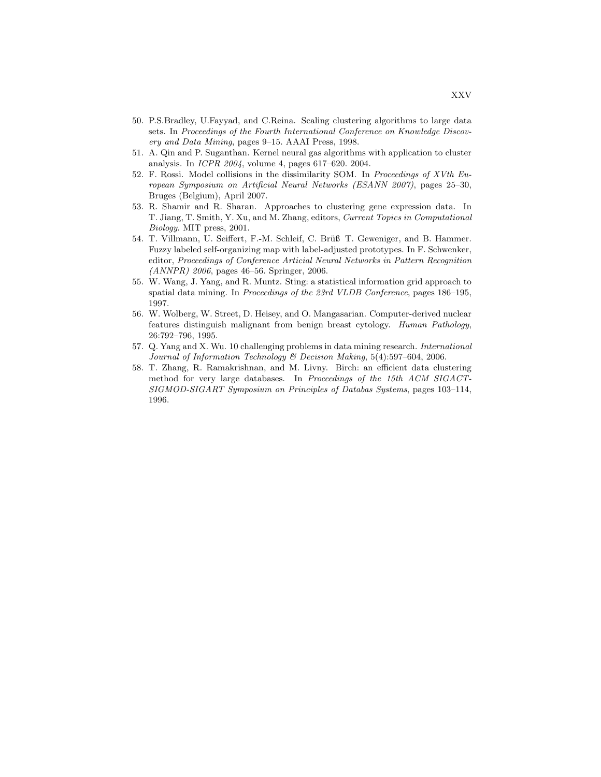- 50. P.S.Bradley, U.Fayyad, and C.Reina. Scaling clustering algorithms to large data sets. In Proceedings of the Fourth International Conference on Knowledge Discovery and Data Mining, pages 9–15. AAAI Press, 1998.
- 51. A. Qin and P. Suganthan. Kernel neural gas algorithms with application to cluster analysis. In ICPR 2004, volume 4, pages 617–620. 2004.
- 52. F. Rossi. Model collisions in the dissimilarity SOM. In Proceedings of XVth European Symposium on Artificial Neural Networks (ESANN 2007), pages 25–30, Bruges (Belgium), April 2007.
- 53. R. Shamir and R. Sharan. Approaches to clustering gene expression data. In T. Jiang, T. Smith, Y. Xu, and M. Zhang, editors, Current Topics in Computational Biology. MIT press, 2001.
- 54. T. Villmann, U. Seiffert, F.-M. Schleif, C. Brüß T. Geweniger, and B. Hammer. Fuzzy labeled self-organizing map with label-adjusted prototypes. In F. Schwenker, editor, Proceedings of Conference Articial Neural Networks in Pattern Recognition (ANNPR) 2006, pages 46–56. Springer, 2006.
- 55. W. Wang, J. Yang, and R. Muntz. Sting: a statistical information grid approach to spatial data mining. In Proceedings of the 23rd VLDB Conference, pages 186–195, 1997.
- 56. W. Wolberg, W. Street, D. Heisey, and O. Mangasarian. Computer-derived nuclear features distinguish malignant from benign breast cytology. Human Pathology, 26:792–796, 1995.
- 57. Q. Yang and X. Wu. 10 challenging problems in data mining research. International Journal of Information Technology & Decision Making, 5(4):597–604, 2006.
- 58. T. Zhang, R. Ramakrishnan, and M. Livny. Birch: an efficient data clustering method for very large databases. In Proceedings of the 15th ACM SIGACT-SIGMOD-SIGART Symposium on Principles of Databas Systems, pages 103–114, 1996.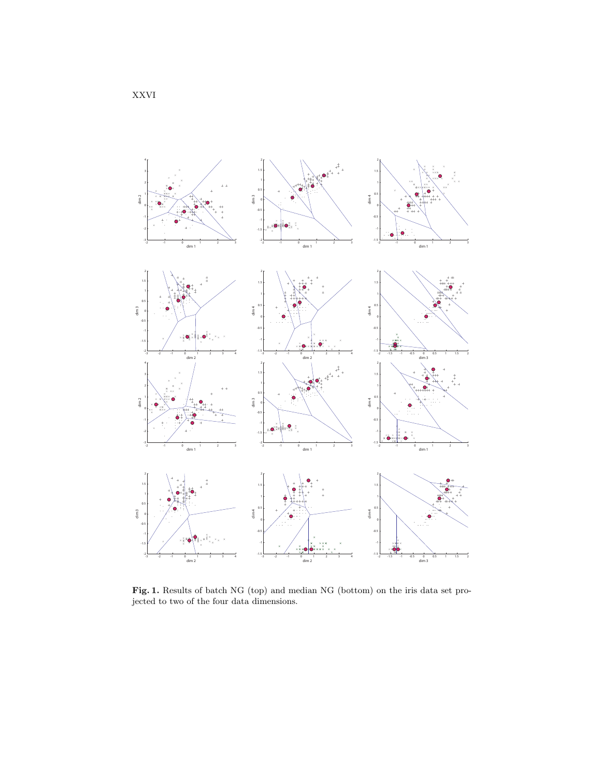

Fig. 1. Results of batch NG (top) and median NG (bottom) on the iris data set projected to two of the four data dimensions.